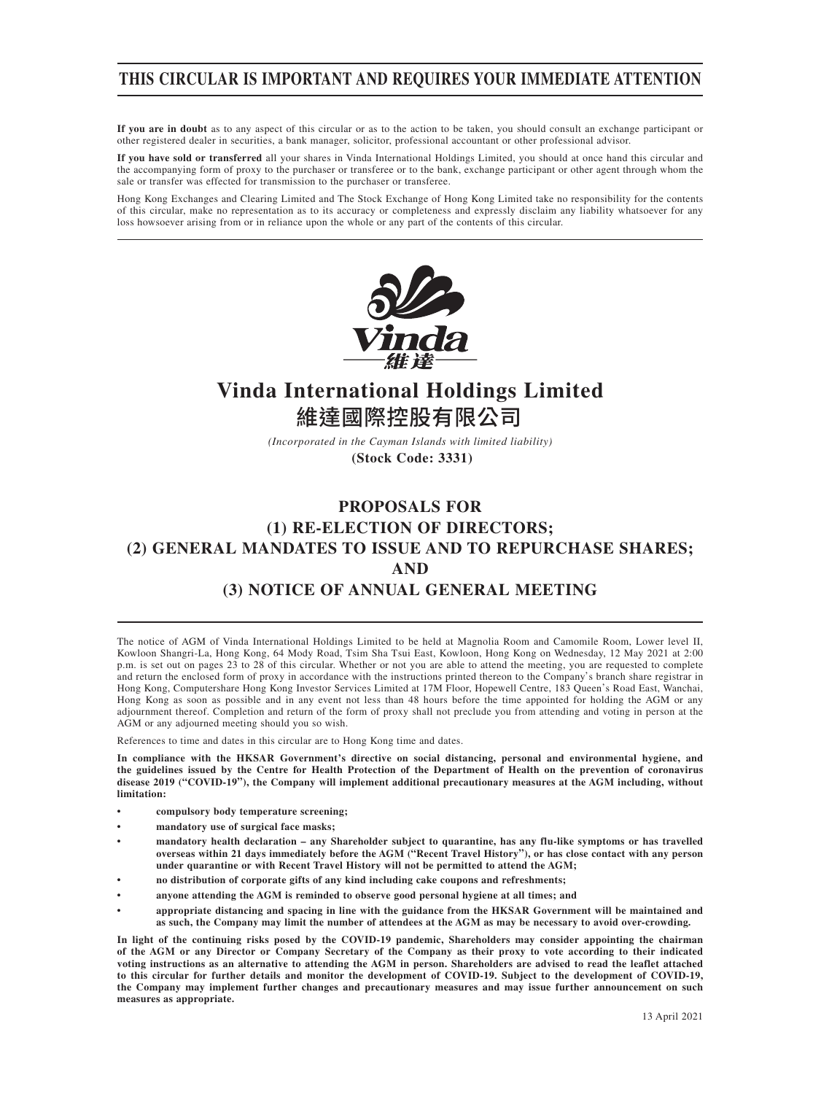## **THIS CIRCULAR IS IMPORTANT AND REQUIRES YOUR IMMEDIATE ATTENTION**

**If you are in doubt** as to any aspect of this circular or as to the action to be taken, you should consult an exchange participant or other registered dealer in securities, a bank manager, solicitor, professional accountant or other professional advisor.

**If you have sold or transferred** all your shares in Vinda International Holdings Limited, you should at once hand this circular and the accompanying form of proxy to the purchaser or transferee or to the bank, exchange participant or other agent through whom the sale or transfer was effected for transmission to the purchaser or transferee.

Hong Kong Exchanges and Clearing Limited and The Stock Exchange of Hong Kong Limited take no responsibility for the contents of this circular, make no representation as to its accuracy or completeness and expressly disclaim any liability whatsoever for any loss howsoever arising from or in reliance upon the whole or any part of the contents of this circular.



# **Vinda International Holdings Limited** 維達國際控股有限公司

*(Incorporated in the Cayman Islands with limited liability)* **(Stock Code: 3331)**

## **PROPOSALS FOR (1) RE-ELECTION OF DIRECTORS; (2) GENERAL MANDATES TO ISSUE AND TO REPURCHASE SHARES; AND (3) NOTICE OF ANNUAL GENERAL MEETING**

The notice of AGM of Vinda International Holdings Limited to be held at Magnolia Room and Camomile Room, Lower level II, Kowloon Shangri-La, Hong Kong, 64 Mody Road, Tsim Sha Tsui East, Kowloon, Hong Kong on Wednesday, 12 May 2021 at 2:00 p.m. is set out on pages 23 to 28 of this circular. Whether or not you are able to attend the meeting, you are requested to complete and return the enclosed form of proxy in accordance with the instructions printed thereon to the Company's branch share registrar in Hong Kong, Computershare Hong Kong Investor Services Limited at 17M Floor, Hopewell Centre, 183 Queen's Road East, Wanchai, Hong Kong as soon as possible and in any event not less than 48 hours before the time appointed for holding the AGM or any adjournment thereof. Completion and return of the form of proxy shall not preclude you from attending and voting in person at the AGM or any adjourned meeting should you so wish.

References to time and dates in this circular are to Hong Kong time and dates.

**In compliance with the HKSAR Government's directive on social distancing, personal and environmental hygiene, and the guidelines issued by the Centre for Health Protection of the Department of Health on the prevention of coronavirus disease 2019 ("COVID-19"), the Company will implement additional precautionary measures at the AGM including, without limitation:**

- **compulsory body temperature screening;**
- **mandatory use of surgical face masks;**
- **mandatory health declaration any Shareholder subject to quarantine, has any flu-like symptoms or has travelled overseas within 21 days immediately before the AGM ("Recent Travel History"), or has close contact with any person under quarantine or with Recent Travel History will not be permitted to attend the AGM;**
- **no distribution of corporate gifts of any kind including cake coupons and refreshments;**
- **anyone attending the AGM is reminded to observe good personal hygiene at all times; and**
- **appropriate distancing and spacing in line with the guidance from the HKSAR Government will be maintained and as such, the Company may limit the number of attendees at the AGM as may be necessary to avoid over-crowding.**

**In light of the continuing risks posed by the COVID-19 pandemic, Shareholders may consider appointing the chairman of the AGM or any Director or Company Secretary of the Company as their proxy to vote according to their indicated voting instructions as an alternative to attending the AGM in person. Shareholders are advised to read the leaflet attached to this circular for further details and monitor the development of COVID-19. Subject to the development of COVID-19, the Company may implement further changes and precautionary measures and may issue further announcement on such measures as appropriate.**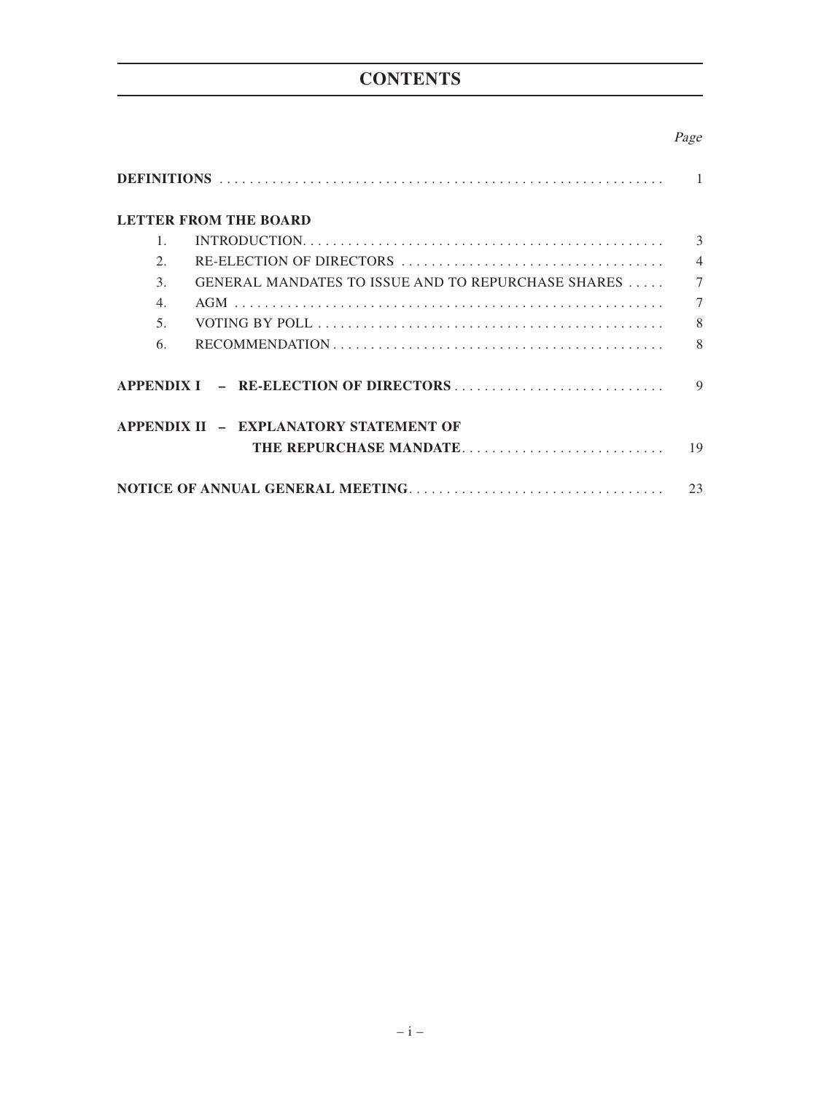# **CONTENTS**

## Page

| <b>LETTER FROM THE BOARD</b>                                                                                      |                |
|-------------------------------------------------------------------------------------------------------------------|----------------|
| $1_{-}$                                                                                                           | 3              |
| $\mathcal{D}_{\mathcal{L}}$                                                                                       | $\overline{4}$ |
| GENERAL MANDATES TO ISSUE AND TO REPURCHASE SHARES<br>$\mathcal{E}$                                               | $\tau$         |
| 4.                                                                                                                | $\tau$         |
| 5 <sub>1</sub>                                                                                                    | 8              |
| $RECOMMENDATION \ldots \ldots \ldots \ldots \ldots \ldots \ldots \ldots \ldots \ldots \ldots \ldots \ldots$<br>6. | 8              |
|                                                                                                                   | $\mathbf Q$    |
| APPENDIX II - EXPLANATORY STATEMENT OF                                                                            |                |
| THE REPURCHASE MANDATE                                                                                            | 19             |
|                                                                                                                   | 23             |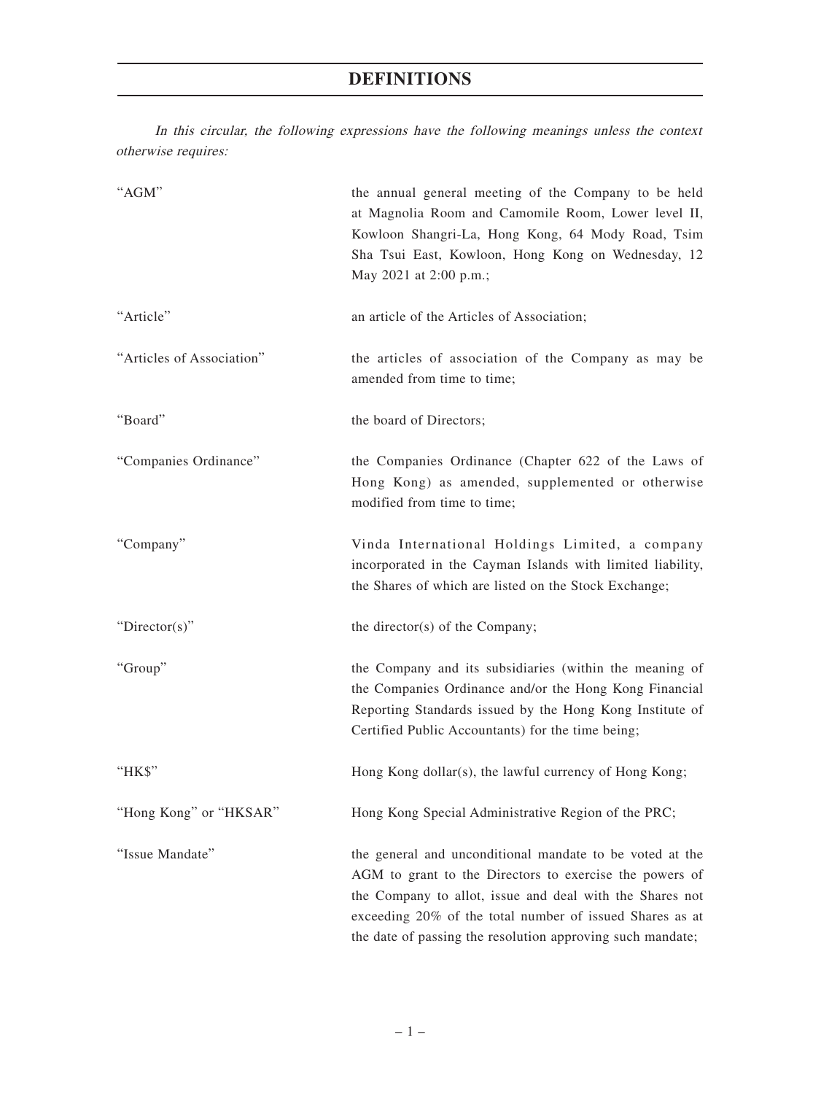## **DEFINITIONS**

In this circular, the following expressions have the following meanings unless the context otherwise requires:

| "AGM"                     | the annual general meeting of the Company to be held<br>at Magnolia Room and Camomile Room, Lower level II,<br>Kowloon Shangri-La, Hong Kong, 64 Mody Road, Tsim<br>Sha Tsui East, Kowloon, Hong Kong on Wednesday, 12<br>May 2021 at 2:00 p.m.;                                                          |
|---------------------------|-----------------------------------------------------------------------------------------------------------------------------------------------------------------------------------------------------------------------------------------------------------------------------------------------------------|
| "Article"                 | an article of the Articles of Association;                                                                                                                                                                                                                                                                |
| "Articles of Association" | the articles of association of the Company as may be<br>amended from time to time;                                                                                                                                                                                                                        |
| "Board"                   | the board of Directors;                                                                                                                                                                                                                                                                                   |
| "Companies Ordinance"     | the Companies Ordinance (Chapter 622 of the Laws of<br>Hong Kong) as amended, supplemented or otherwise<br>modified from time to time;                                                                                                                                                                    |
| "Company"                 | Vinda International Holdings Limited, a company<br>incorporated in the Cayman Islands with limited liability,<br>the Shares of which are listed on the Stock Exchange;                                                                                                                                    |
| "Director(s)"             | the director(s) of the Company;                                                                                                                                                                                                                                                                           |
| "Group"                   | the Company and its subsidiaries (within the meaning of<br>the Companies Ordinance and/or the Hong Kong Financial<br>Reporting Standards issued by the Hong Kong Institute of<br>Certified Public Accountants) for the time being;                                                                        |
| "HK\$"                    | Hong Kong dollar(s), the lawful currency of Hong Kong;                                                                                                                                                                                                                                                    |
| "Hong Kong" or "HKSAR"    | Hong Kong Special Administrative Region of the PRC;                                                                                                                                                                                                                                                       |
| "Issue Mandate"           | the general and unconditional mandate to be voted at the<br>AGM to grant to the Directors to exercise the powers of<br>the Company to allot, issue and deal with the Shares not<br>exceeding 20% of the total number of issued Shares as at<br>the date of passing the resolution approving such mandate; |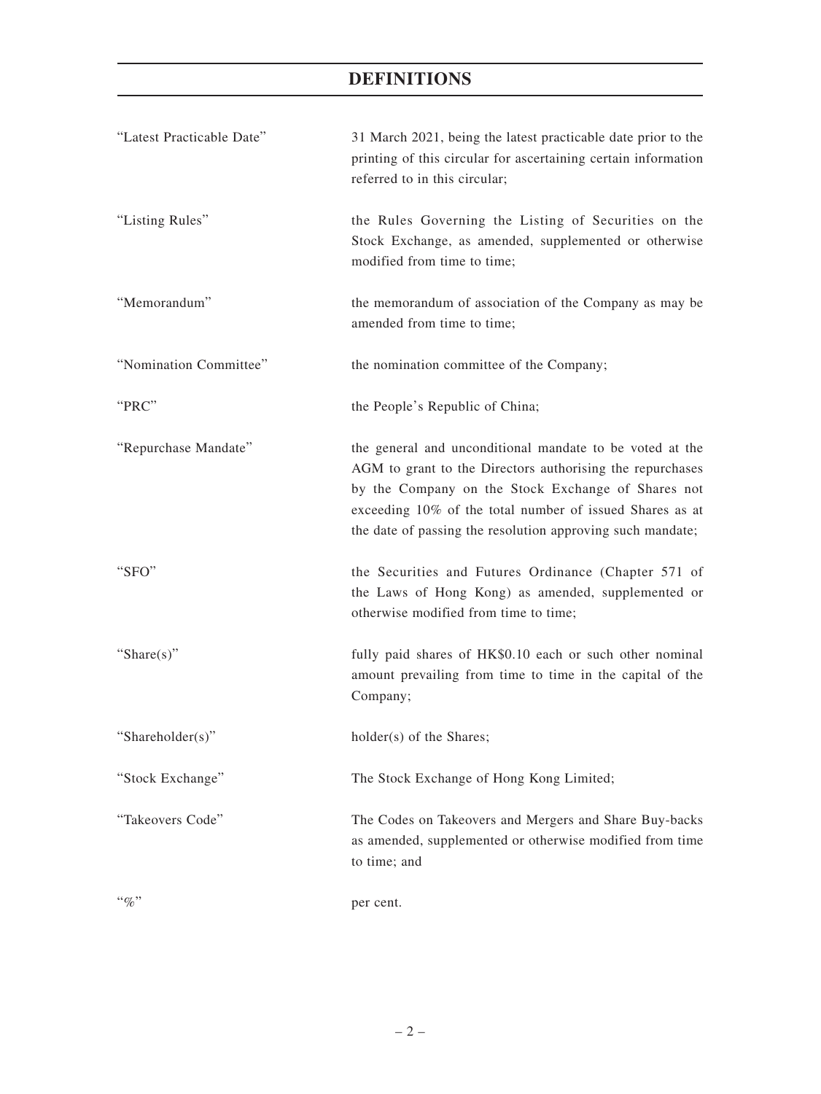## **DEFINITIONS**

| "Latest Practicable Date" | 31 March 2021, being the latest practicable date prior to the<br>printing of this circular for ascertaining certain information<br>referred to in this circular;                                                                                                                                      |
|---------------------------|-------------------------------------------------------------------------------------------------------------------------------------------------------------------------------------------------------------------------------------------------------------------------------------------------------|
| "Listing Rules"           | the Rules Governing the Listing of Securities on the<br>Stock Exchange, as amended, supplemented or otherwise<br>modified from time to time;                                                                                                                                                          |
| "Memorandum"              | the memorandum of association of the Company as may be<br>amended from time to time;                                                                                                                                                                                                                  |
| "Nomination Committee"    | the nomination committee of the Company;                                                                                                                                                                                                                                                              |
| "PRC"                     | the People's Republic of China;                                                                                                                                                                                                                                                                       |
| "Repurchase Mandate"      | the general and unconditional mandate to be voted at the<br>AGM to grant to the Directors authorising the repurchases<br>by the Company on the Stock Exchange of Shares not<br>exceeding 10% of the total number of issued Shares as at<br>the date of passing the resolution approving such mandate; |
| "SFO"                     | the Securities and Futures Ordinance (Chapter 571 of<br>the Laws of Hong Kong) as amended, supplemented or<br>otherwise modified from time to time;                                                                                                                                                   |
| "Share $(s)$ "            | fully paid shares of HK\$0.10 each or such other nominal<br>amount prevailing from time to time in the capital of the<br>Company;                                                                                                                                                                     |
| "Shareholder(s)"          | holder(s) of the Shares;                                                                                                                                                                                                                                                                              |
| "Stock Exchange"          | The Stock Exchange of Hong Kong Limited;                                                                                                                                                                                                                                                              |
| "Takeovers Code"          | The Codes on Takeovers and Mergers and Share Buy-backs<br>as amended, supplemented or otherwise modified from time<br>to time; and                                                                                                                                                                    |
| $``\%"$                   | per cent.                                                                                                                                                                                                                                                                                             |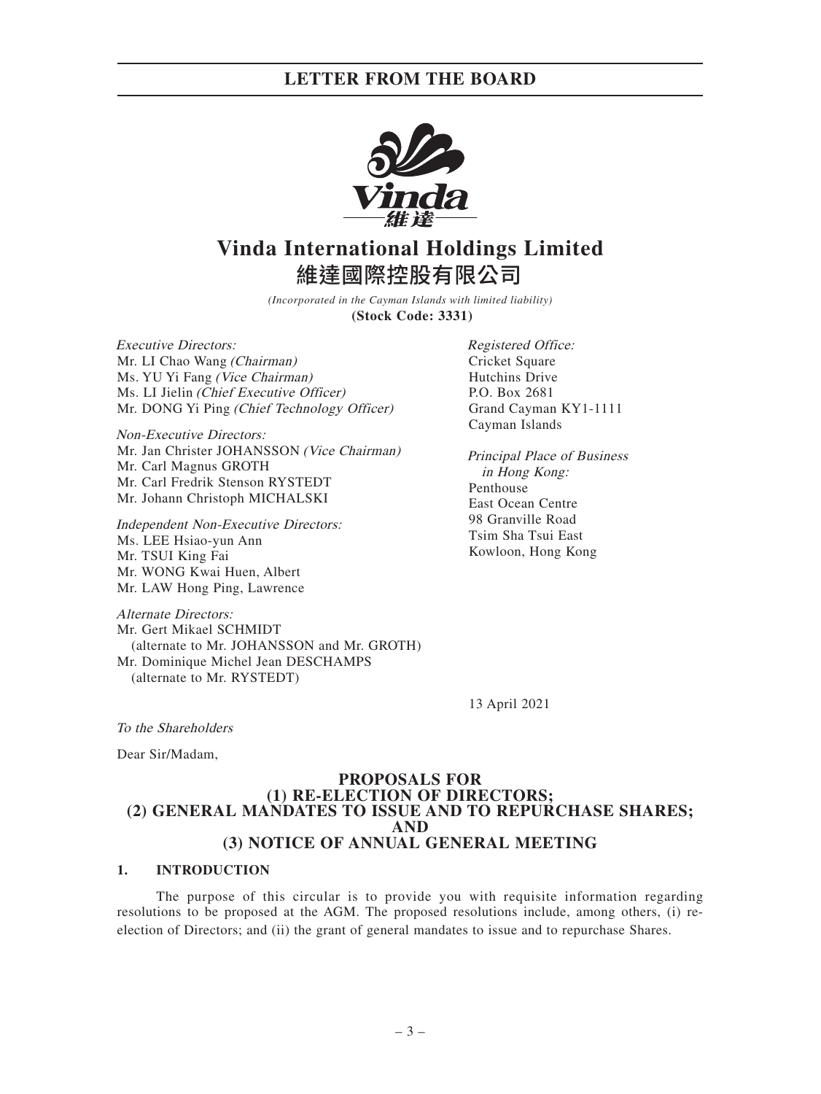

# **Vinda International Holdings Limited** 維達國際控股有限公司

*(Incorporated in the Cayman Islands with limited liability)* **(Stock Code: 3331)**

Executive Directors: Mr. LI Chao Wang (Chairman) Ms. YU Yi Fang (Vice Chairman) Ms. LI Jielin (Chief Executive Officer) Mr. DONG Yi Ping (Chief Technology Officer)

Non-Executive Directors: Mr. Jan Christer JOHANSSON (Vice Chairman) Mr. Carl Magnus GROTH Mr. Carl Fredrik Stenson RYSTEDT Mr. Johann Christoph MICHALSKI

Independent Non-Executive Directors: Ms. LEE Hsiao-yun Ann Mr. TSUI King Fai Mr. WONG Kwai Huen, Albert Mr. LAW Hong Ping, Lawrence

Alternate Directors: Mr. Gert Mikael SCHMIDT (alternate to Mr. JOHANSSON and Mr. GROTH) Mr. Dominique Michel Jean DESCHAMPS (alternate to Mr. RYSTEDT)

Registered Office: Cricket Square Hutchins Drive P.O. Box 2681 Grand Cayman KY1-1111 Cayman Islands

Principal Place of Business in Hong Kong: Penthouse East Ocean Centre 98 Granville Road Tsim Sha Tsui East Kowloon, Hong Kong

13 April 2021

To the Shareholders

Dear Sir/Madam,

### **PROPOSALS FOR (1) RE-ELECTION OF DIRECTORS; (2) GENERAL MANDATES TO ISSUE AND TO REPURCHASE SHARES; AND (3) NOTICE OF ANNUAL GENERAL MEETING**

### **1. INTRODUCTION**

The purpose of this circular is to provide you with requisite information regarding resolutions to be proposed at the AGM. The proposed resolutions include, among others, (i) reelection of Directors; and (ii) the grant of general mandates to issue and to repurchase Shares.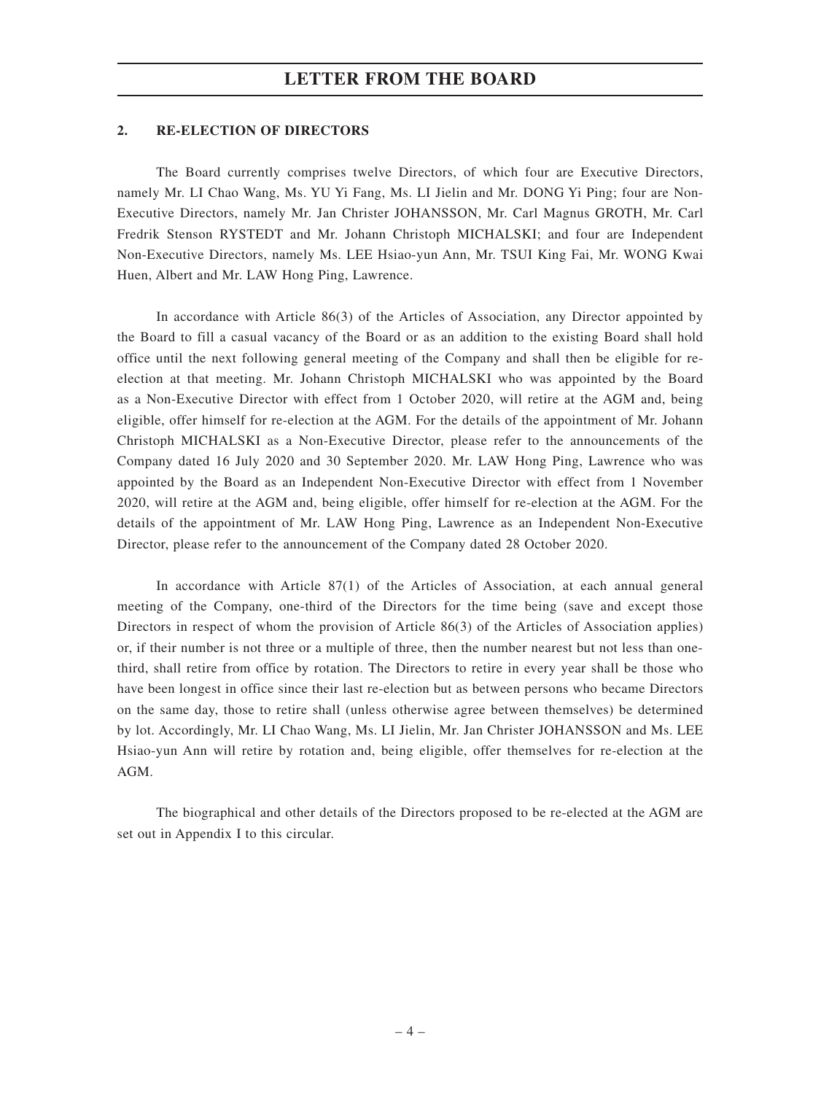### **2. RE-ELECTION OF DIRECTORS**

The Board currently comprises twelve Directors, of which four are Executive Directors, namely Mr. LI Chao Wang, Ms. YU Yi Fang, Ms. LI Jielin and Mr. DONG Yi Ping; four are Non-Executive Directors, namely Mr. Jan Christer JOHANSSON, Mr. Carl Magnus GROTH, Mr. Carl Fredrik Stenson RYSTEDT and Mr. Johann Christoph MICHALSKI; and four are Independent Non-Executive Directors, namely Ms. LEE Hsiao-yun Ann, Mr. TSUI King Fai, Mr. WONG Kwai Huen, Albert and Mr. LAW Hong Ping, Lawrence.

In accordance with Article 86(3) of the Articles of Association, any Director appointed by the Board to fill a casual vacancy of the Board or as an addition to the existing Board shall hold office until the next following general meeting of the Company and shall then be eligible for reelection at that meeting. Mr. Johann Christoph MICHALSKI who was appointed by the Board as a Non-Executive Director with effect from 1 October 2020, will retire at the AGM and, being eligible, offer himself for re-election at the AGM. For the details of the appointment of Mr. Johann Christoph MICHALSKI as a Non-Executive Director, please refer to the announcements of the Company dated 16 July 2020 and 30 September 2020. Mr. LAW Hong Ping, Lawrence who was appointed by the Board as an Independent Non-Executive Director with effect from 1 November 2020, will retire at the AGM and, being eligible, offer himself for re-election at the AGM. For the details of the appointment of Mr. LAW Hong Ping, Lawrence as an Independent Non-Executive Director, please refer to the announcement of the Company dated 28 October 2020.

In accordance with Article 87(1) of the Articles of Association, at each annual general meeting of the Company, one-third of the Directors for the time being (save and except those Directors in respect of whom the provision of Article 86(3) of the Articles of Association applies) or, if their number is not three or a multiple of three, then the number nearest but not less than onethird, shall retire from office by rotation. The Directors to retire in every year shall be those who have been longest in office since their last re-election but as between persons who became Directors on the same day, those to retire shall (unless otherwise agree between themselves) be determined by lot. Accordingly, Mr. LI Chao Wang, Ms. LI Jielin, Mr. Jan Christer JOHANSSON and Ms. LEE Hsiao-yun Ann will retire by rotation and, being eligible, offer themselves for re-election at the AGM.

The biographical and other details of the Directors proposed to be re-elected at the AGM are set out in Appendix I to this circular.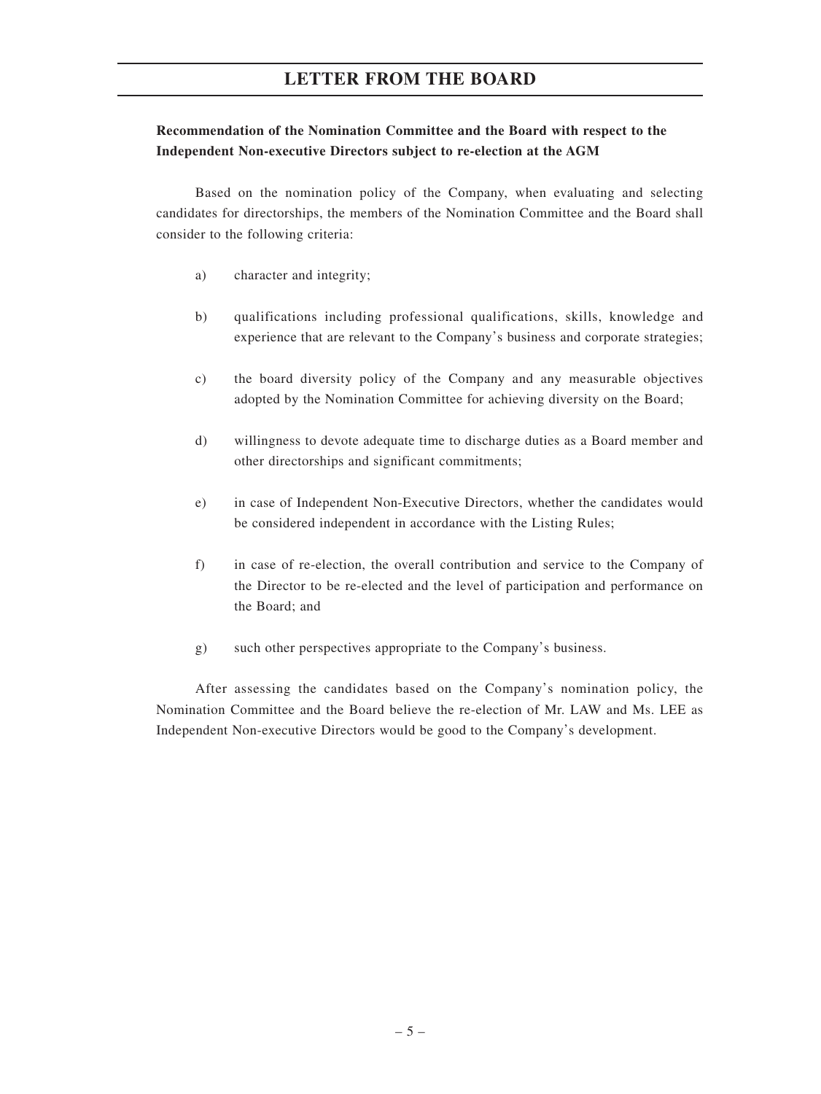## **Recommendation of the Nomination Committee and the Board with respect to the Independent Non-executive Directors subject to re-election at the AGM**

Based on the nomination policy of the Company, when evaluating and selecting candidates for directorships, the members of the Nomination Committee and the Board shall consider to the following criteria:

- a) character and integrity;
- b) qualifications including professional qualifications, skills, knowledge and experience that are relevant to the Company's business and corporate strategies;
- c) the board diversity policy of the Company and any measurable objectives adopted by the Nomination Committee for achieving diversity on the Board;
- d) willingness to devote adequate time to discharge duties as a Board member and other directorships and significant commitments;
- e) in case of Independent Non-Executive Directors, whether the candidates would be considered independent in accordance with the Listing Rules;
- f) in case of re-election, the overall contribution and service to the Company of the Director to be re-elected and the level of participation and performance on the Board; and
- g) such other perspectives appropriate to the Company's business.

After assessing the candidates based on the Company's nomination policy, the Nomination Committee and the Board believe the re-election of Mr. LAW and Ms. LEE as Independent Non-executive Directors would be good to the Company's development.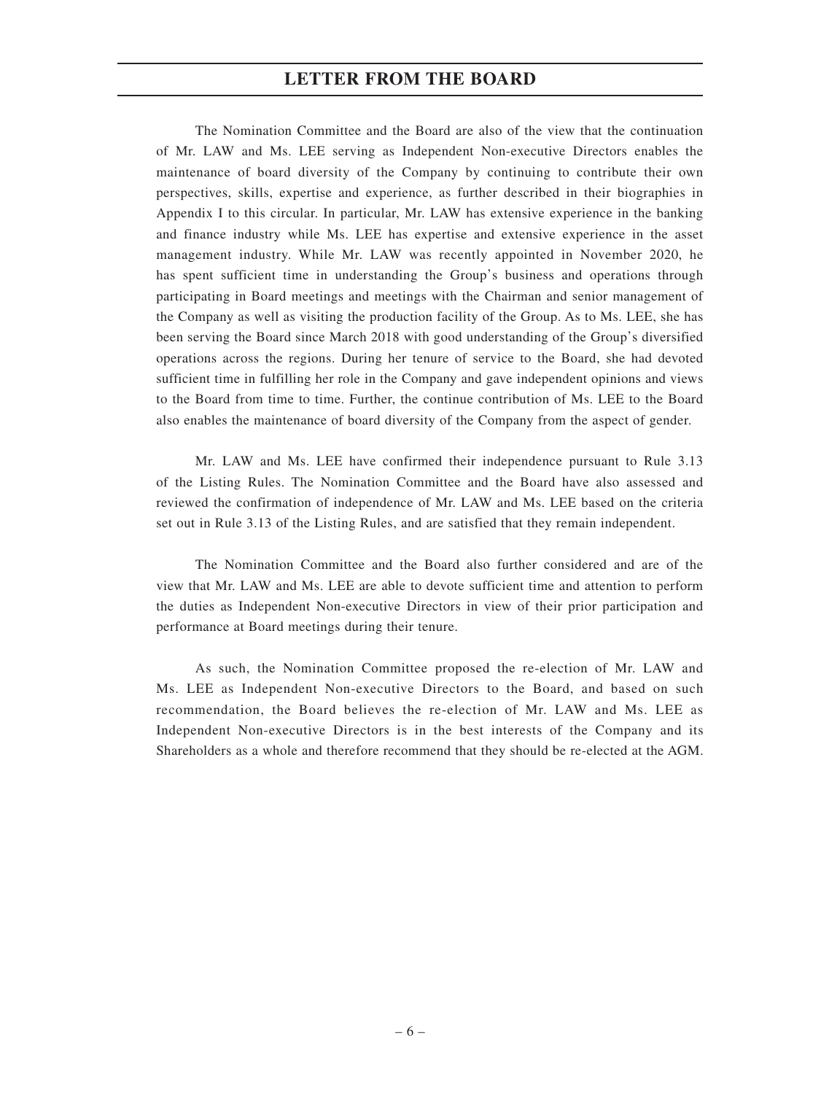The Nomination Committee and the Board are also of the view that the continuation of Mr. LAW and Ms. LEE serving as Independent Non-executive Directors enables the maintenance of board diversity of the Company by continuing to contribute their own perspectives, skills, expertise and experience, as further described in their biographies in Appendix I to this circular. In particular, Mr. LAW has extensive experience in the banking and finance industry while Ms. LEE has expertise and extensive experience in the asset management industry. While Mr. LAW was recently appointed in November 2020, he has spent sufficient time in understanding the Group's business and operations through participating in Board meetings and meetings with the Chairman and senior management of the Company as well as visiting the production facility of the Group. As to Ms. LEE, she has been serving the Board since March 2018 with good understanding of the Group's diversified operations across the regions. During her tenure of service to the Board, she had devoted sufficient time in fulfilling her role in the Company and gave independent opinions and views to the Board from time to time. Further, the continue contribution of Ms. LEE to the Board also enables the maintenance of board diversity of the Company from the aspect of gender.

Mr. LAW and Ms. LEE have confirmed their independence pursuant to Rule 3.13 of the Listing Rules. The Nomination Committee and the Board have also assessed and reviewed the confirmation of independence of Mr. LAW and Ms. LEE based on the criteria set out in Rule 3.13 of the Listing Rules, and are satisfied that they remain independent.

The Nomination Committee and the Board also further considered and are of the view that Mr. LAW and Ms. LEE are able to devote sufficient time and attention to perform the duties as Independent Non-executive Directors in view of their prior participation and performance at Board meetings during their tenure.

As such, the Nomination Committee proposed the re-election of Mr. LAW and Ms. LEE as Independent Non-executive Directors to the Board, and based on such recommendation, the Board believes the re-election of Mr. LAW and Ms. LEE as Independent Non-executive Directors is in the best interests of the Company and its Shareholders as a whole and therefore recommend that they should be re-elected at the AGM.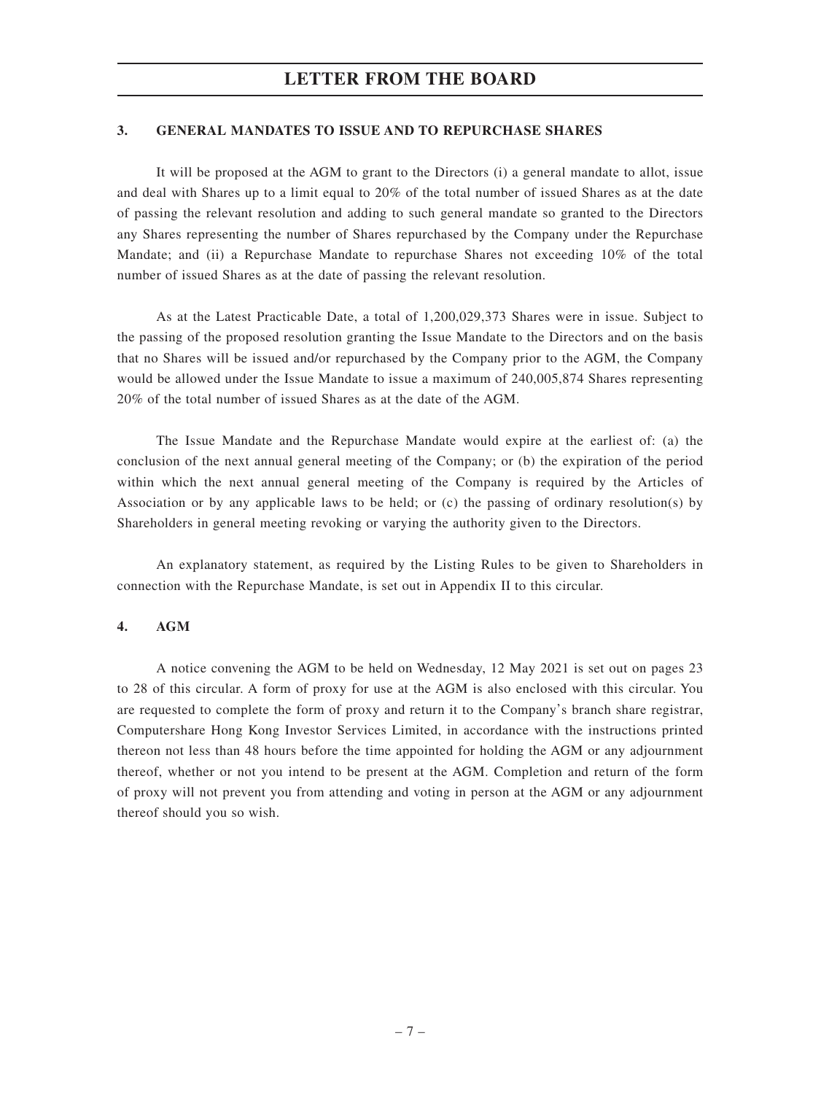### **3. GENERAL MANDATES TO ISSUE AND TO REPURCHASE SHARES**

It will be proposed at the AGM to grant to the Directors (i) a general mandate to allot, issue and deal with Shares up to a limit equal to 20% of the total number of issued Shares as at the date of passing the relevant resolution and adding to such general mandate so granted to the Directors any Shares representing the number of Shares repurchased by the Company under the Repurchase Mandate; and (ii) a Repurchase Mandate to repurchase Shares not exceeding 10% of the total number of issued Shares as at the date of passing the relevant resolution.

As at the Latest Practicable Date, a total of 1,200,029,373 Shares were in issue. Subject to the passing of the proposed resolution granting the Issue Mandate to the Directors and on the basis that no Shares will be issued and/or repurchased by the Company prior to the AGM, the Company would be allowed under the Issue Mandate to issue a maximum of 240,005,874 Shares representing 20% of the total number of issued Shares as at the date of the AGM.

The Issue Mandate and the Repurchase Mandate would expire at the earliest of: (a) the conclusion of the next annual general meeting of the Company; or (b) the expiration of the period within which the next annual general meeting of the Company is required by the Articles of Association or by any applicable laws to be held; or (c) the passing of ordinary resolution(s) by Shareholders in general meeting revoking or varying the authority given to the Directors.

An explanatory statement, as required by the Listing Rules to be given to Shareholders in connection with the Repurchase Mandate, is set out in Appendix II to this circular.

### **4. AGM**

A notice convening the AGM to be held on Wednesday, 12 May 2021 is set out on pages 23 to 28 of this circular. A form of proxy for use at the AGM is also enclosed with this circular. You are requested to complete the form of proxy and return it to the Company's branch share registrar, Computershare Hong Kong Investor Services Limited, in accordance with the instructions printed thereon not less than 48 hours before the time appointed for holding the AGM or any adjournment thereof, whether or not you intend to be present at the AGM. Completion and return of the form of proxy will not prevent you from attending and voting in person at the AGM or any adjournment thereof should you so wish.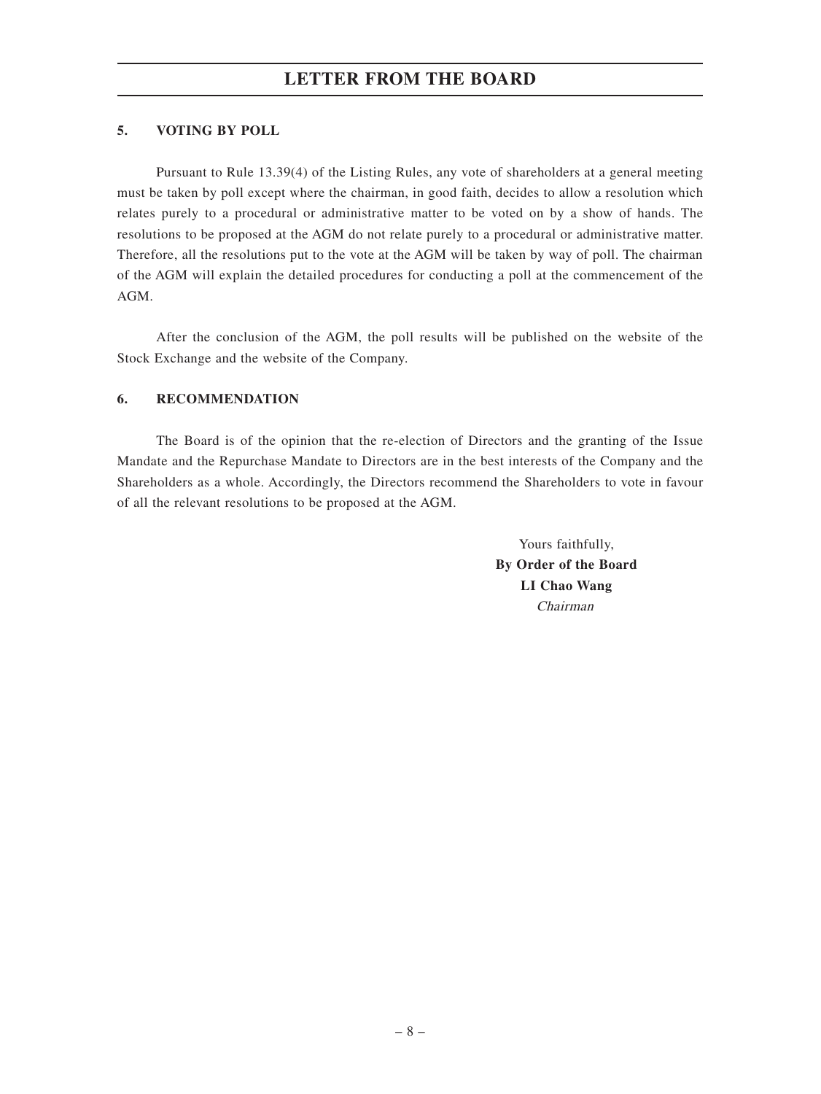### **5. VOTING BY POLL**

Pursuant to Rule 13.39(4) of the Listing Rules, any vote of shareholders at a general meeting must be taken by poll except where the chairman, in good faith, decides to allow a resolution which relates purely to a procedural or administrative matter to be voted on by a show of hands. The resolutions to be proposed at the AGM do not relate purely to a procedural or administrative matter. Therefore, all the resolutions put to the vote at the AGM will be taken by way of poll. The chairman of the AGM will explain the detailed procedures for conducting a poll at the commencement of the AGM.

After the conclusion of the AGM, the poll results will be published on the website of the Stock Exchange and the website of the Company.

### **6. RECOMMENDATION**

The Board is of the opinion that the re-election of Directors and the granting of the Issue Mandate and the Repurchase Mandate to Directors are in the best interests of the Company and the Shareholders as a whole. Accordingly, the Directors recommend the Shareholders to vote in favour of all the relevant resolutions to be proposed at the AGM.

> Yours faithfully, **By Order of the Board LI Chao Wang** Chairman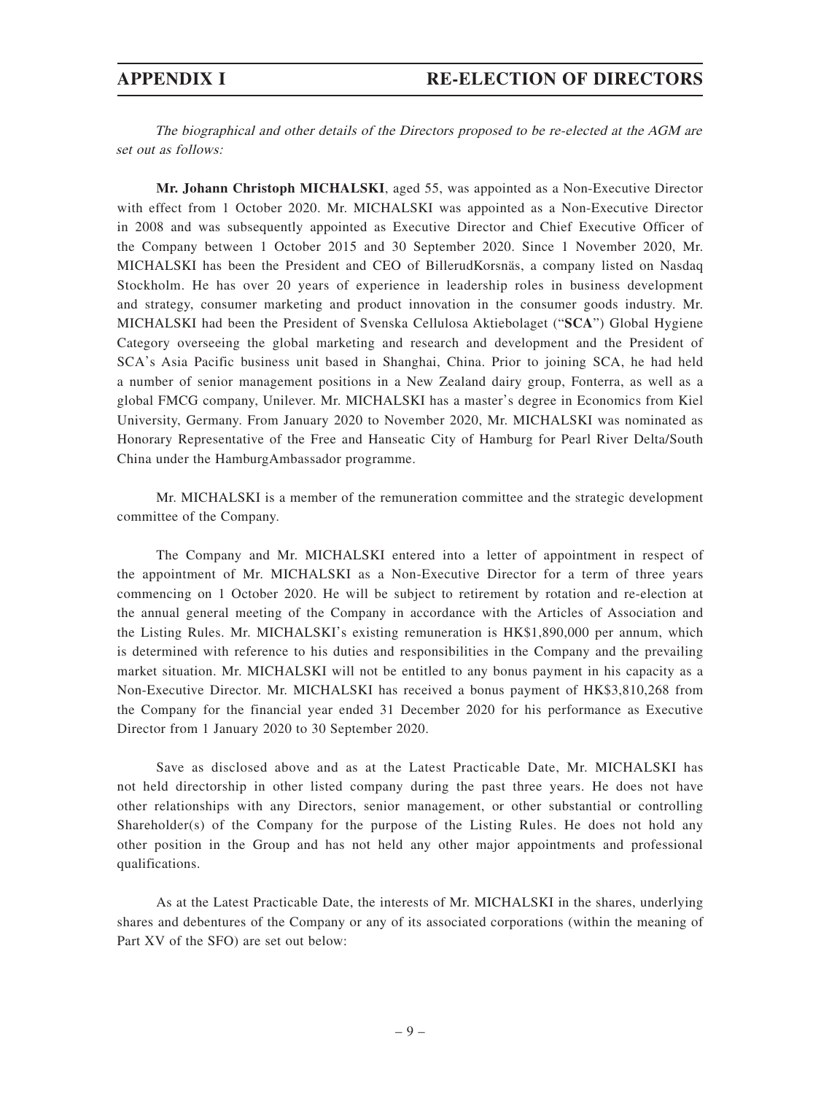The biographical and other details of the Directors proposed to be re-elected at the AGM are set out as follows:

**Mr. Johann Christoph MICHALSKI**, aged 55, was appointed as a Non-Executive Director with effect from 1 October 2020. Mr. MICHALSKI was appointed as a Non-Executive Director in 2008 and was subsequently appointed as Executive Director and Chief Executive Officer of the Company between 1 October 2015 and 30 September 2020. Since 1 November 2020, Mr. MICHALSKI has been the President and CEO of BillerudKorsnäs, a company listed on Nasdaq Stockholm. He has over 20 years of experience in leadership roles in business development and strategy, consumer marketing and product innovation in the consumer goods industry. Mr. MICHALSKI had been the President of Svenska Cellulosa Aktiebolaget ("**SCA**") Global Hygiene Category overseeing the global marketing and research and development and the President of SCA's Asia Pacific business unit based in Shanghai, China. Prior to joining SCA, he had held a number of senior management positions in a New Zealand dairy group, Fonterra, as well as a global FMCG company, Unilever. Mr. MICHALSKI has a master's degree in Economics from Kiel University, Germany. From January 2020 to November 2020, Mr. MICHALSKI was nominated as Honorary Representative of the Free and Hanseatic City of Hamburg for Pearl River Delta/South China under the HamburgAmbassador programme.

Mr. MICHALSKI is a member of the remuneration committee and the strategic development committee of the Company.

The Company and Mr. MICHALSKI entered into a letter of appointment in respect of the appointment of Mr. MICHALSKI as a Non-Executive Director for a term of three years commencing on 1 October 2020. He will be subject to retirement by rotation and re-election at the annual general meeting of the Company in accordance with the Articles of Association and the Listing Rules. Mr. MICHALSKI's existing remuneration is HK\$1,890,000 per annum, which is determined with reference to his duties and responsibilities in the Company and the prevailing market situation. Mr. MICHALSKI will not be entitled to any bonus payment in his capacity as a Non-Executive Director. Mr. MICHALSKI has received a bonus payment of HK\$3,810,268 from the Company for the financial year ended 31 December 2020 for his performance as Executive Director from 1 January 2020 to 30 September 2020.

Save as disclosed above and as at the Latest Practicable Date, Mr. MICHALSKI has not held directorship in other listed company during the past three years. He does not have other relationships with any Directors, senior management, or other substantial or controlling Shareholder(s) of the Company for the purpose of the Listing Rules. He does not hold any other position in the Group and has not held any other major appointments and professional qualifications.

As at the Latest Practicable Date, the interests of Mr. MICHALSKI in the shares, underlying shares and debentures of the Company or any of its associated corporations (within the meaning of Part XV of the SFO) are set out below: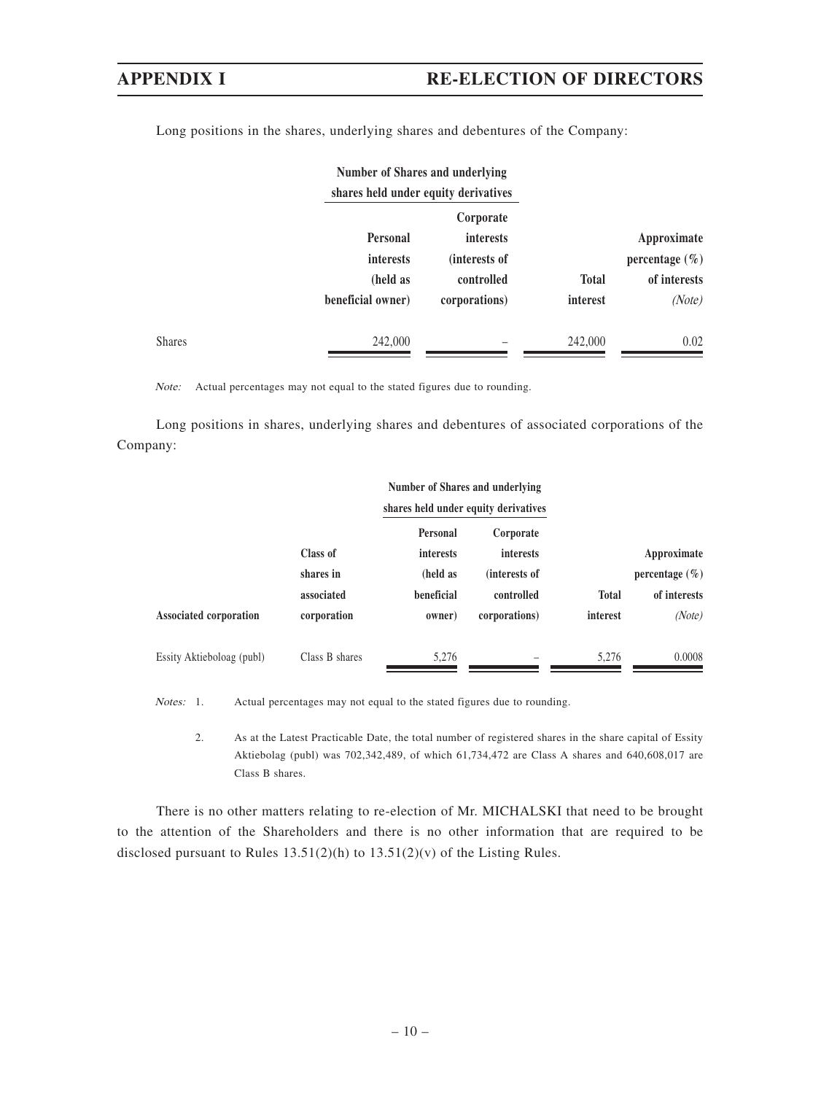|               | Number of Shares and underlying<br>shares held under equity derivatives |                               |              |                    |
|---------------|-------------------------------------------------------------------------|-------------------------------|--------------|--------------------|
|               | <b>Personal</b>                                                         | Corporate<br><i>interests</i> |              | Approximate        |
|               | interests                                                               | (interests of                 |              | percentage $(\% )$ |
|               | (held as                                                                | controlled                    | <b>Total</b> | of interests       |
|               | beneficial owner)                                                       | corporations)                 | interest     | (Note)             |
| <b>Shares</b> | 242,000                                                                 |                               | 242,000      | 0.02               |

Long positions in the shares, underlying shares and debentures of the Company:

Note: Actual percentages may not equal to the stated figures due to rounding.

Long positions in shares, underlying shares and debentures of associated corporations of the Company:

|                           |                | Number of Shares and underlying<br>shares held under equity derivatives |                  |              |                    |
|---------------------------|----------------|-------------------------------------------------------------------------|------------------|--------------|--------------------|
|                           |                | Personal                                                                | Corporate        |              |                    |
|                           | Class of       | interests                                                               | <i>interests</i> |              | Approximate        |
|                           | shares in      | (held as                                                                | (interests of    |              | percentage $(\% )$ |
|                           | associated     | beneficial                                                              | controlled       | <b>Total</b> | of interests       |
| Associated corporation    | corporation    | owner)                                                                  | corporations)    | interest     | (Note)             |
| Essity Aktieboloag (publ) | Class B shares | 5,276                                                                   |                  | 5.276        | 0.0008             |

Notes: 1. Actual percentages may not equal to the stated figures due to rounding.

2. As at the Latest Practicable Date, the total number of registered shares in the share capital of Essity Aktiebolag (publ) was 702,342,489, of which 61,734,472 are Class A shares and 640,608,017 are Class B shares.

There is no other matters relating to re-election of Mr. MICHALSKI that need to be brought to the attention of the Shareholders and there is no other information that are required to be disclosed pursuant to Rules 13.51(2)(h) to 13.51(2)(v) of the Listing Rules.

### – 10 –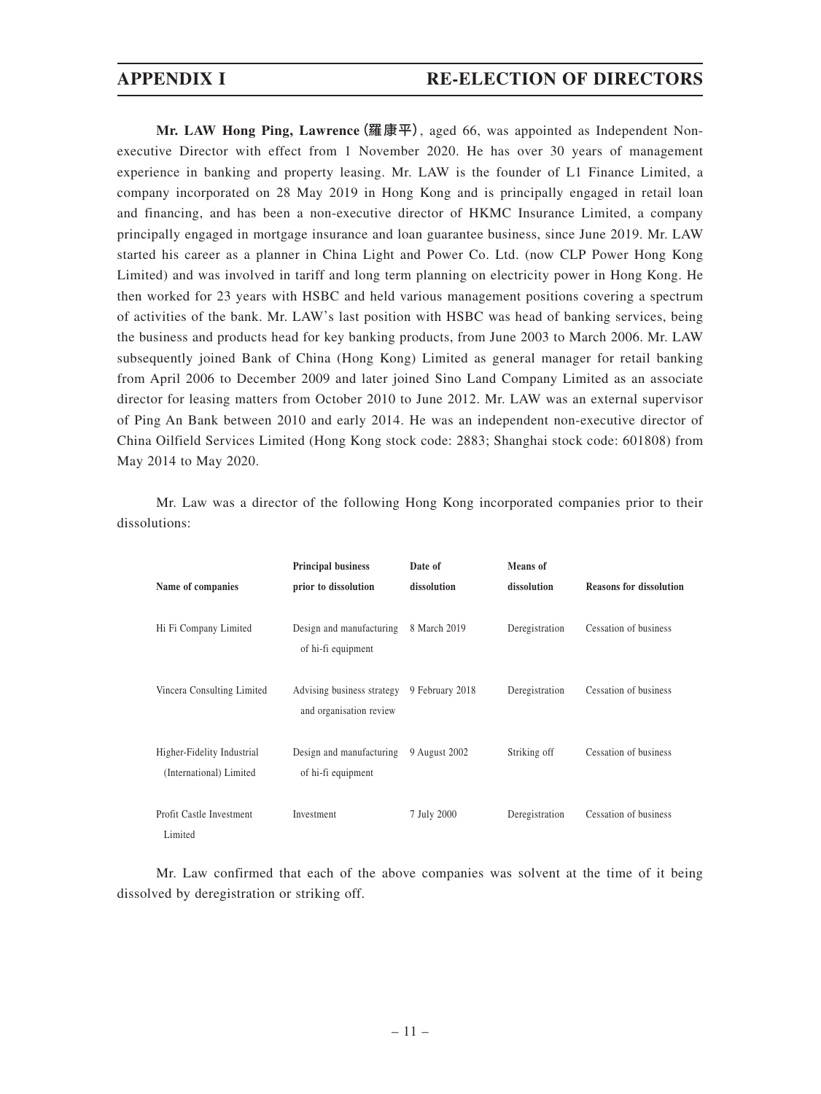## **APPENDIX I RE-ELECTION OF DIRECTORS**

**Mr. LAW Hong Ping, Lawrence**(羅康平), aged 66, was appointed as Independent Nonexecutive Director with effect from 1 November 2020. He has over 30 years of management experience in banking and property leasing. Mr. LAW is the founder of L1 Finance Limited, a company incorporated on 28 May 2019 in Hong Kong and is principally engaged in retail loan and financing, and has been a non-executive director of HKMC Insurance Limited, a company principally engaged in mortgage insurance and loan guarantee business, since June 2019. Mr. LAW started his career as a planner in China Light and Power Co. Ltd. (now CLP Power Hong Kong Limited) and was involved in tariff and long term planning on electricity power in Hong Kong. He then worked for 23 years with HSBC and held various management positions covering a spectrum of activities of the bank. Mr. LAW's last position with HSBC was head of banking services, being the business and products head for key banking products, from June 2003 to March 2006. Mr. LAW subsequently joined Bank of China (Hong Kong) Limited as general manager for retail banking from April 2006 to December 2009 and later joined Sino Land Company Limited as an associate director for leasing matters from October 2010 to June 2012. Mr. LAW was an external supervisor of Ping An Bank between 2010 and early 2014. He was an independent non-executive director of China Oilfield Services Limited (Hong Kong stock code: 2883; Shanghai stock code: 601808) from May 2014 to May 2020.

Mr. Law was a director of the following Hong Kong incorporated companies prior to their dissolutions:

|                                                       | <b>Principal business</b>                             | Date of         | Means of       |                                |
|-------------------------------------------------------|-------------------------------------------------------|-----------------|----------------|--------------------------------|
| Name of companies                                     | prior to dissolution                                  | dissolution     | dissolution    | <b>Reasons for dissolution</b> |
| Hi Fi Company Limited                                 | Design and manufacturing<br>of hi-fi equipment        | 8 March 2019    | Deregistration | Cessation of business          |
| Vincera Consulting Limited                            | Advising business strategy<br>and organisation review | 9 February 2018 | Deregistration | Cessation of business          |
| Higher-Fidelity Industrial<br>(International) Limited | Design and manufacturing<br>of hi-fi equipment        | 9 August 2002   | Striking off   | Cessation of business          |
| Profit Castle Investment<br>Limited                   | Investment                                            | 7 July 2000     | Deregistration | Cessation of business          |

Mr. Law confirmed that each of the above companies was solvent at the time of it being dissolved by deregistration or striking off.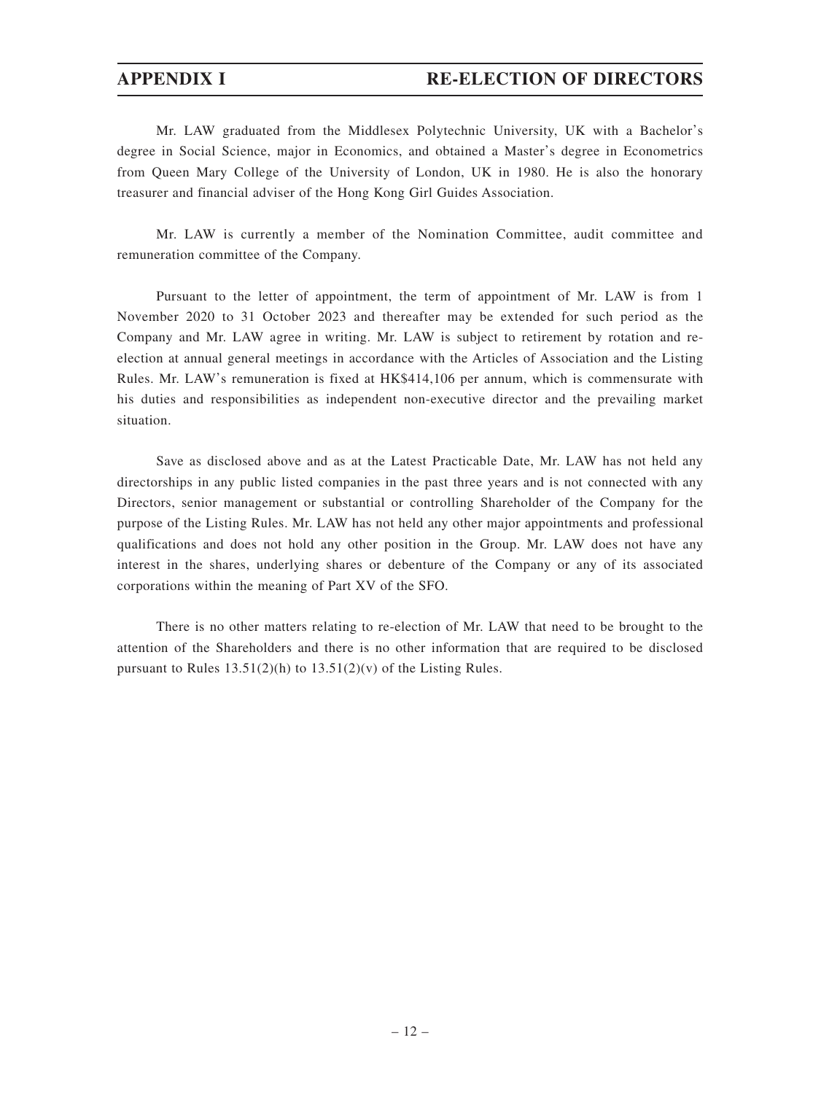Mr. LAW graduated from the Middlesex Polytechnic University, UK with a Bachelor's degree in Social Science, major in Economics, and obtained a Master's degree in Econometrics from Queen Mary College of the University of London, UK in 1980. He is also the honorary treasurer and financial adviser of the Hong Kong Girl Guides Association.

Mr. LAW is currently a member of the Nomination Committee, audit committee and remuneration committee of the Company.

Pursuant to the letter of appointment, the term of appointment of Mr. LAW is from 1 November 2020 to 31 October 2023 and thereafter may be extended for such period as the Company and Mr. LAW agree in writing. Mr. LAW is subject to retirement by rotation and reelection at annual general meetings in accordance with the Articles of Association and the Listing Rules. Mr. LAW's remuneration is fixed at HK\$414,106 per annum, which is commensurate with his duties and responsibilities as independent non-executive director and the prevailing market situation.

Save as disclosed above and as at the Latest Practicable Date, Mr. LAW has not held any directorships in any public listed companies in the past three years and is not connected with any Directors, senior management or substantial or controlling Shareholder of the Company for the purpose of the Listing Rules. Mr. LAW has not held any other major appointments and professional qualifications and does not hold any other position in the Group. Mr. LAW does not have any interest in the shares, underlying shares or debenture of the Company or any of its associated corporations within the meaning of Part XV of the SFO.

There is no other matters relating to re-election of Mr. LAW that need to be brought to the attention of the Shareholders and there is no other information that are required to be disclosed pursuant to Rules  $13.51(2)(h)$  to  $13.51(2)(v)$  of the Listing Rules.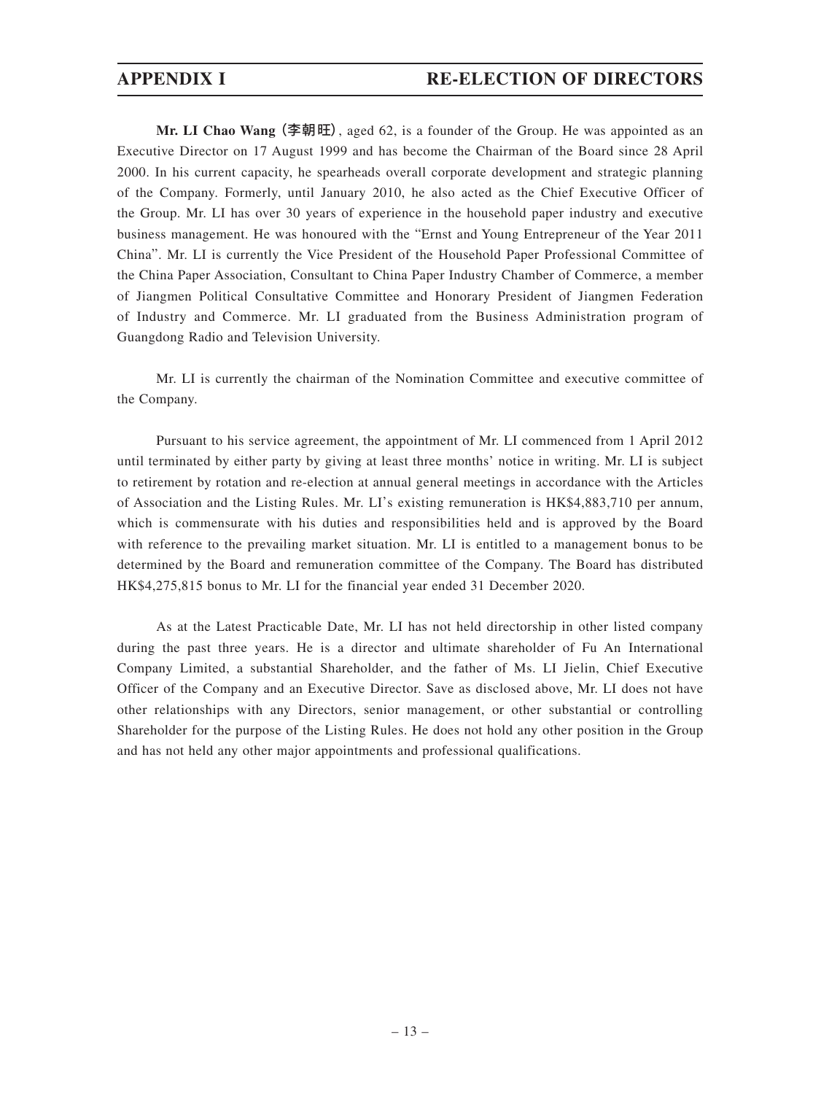**Mr. LI Chao Wang** (李朝旺), aged 62, is a founder of the Group. He was appointed as an Executive Director on 17 August 1999 and has become the Chairman of the Board since 28 April 2000. In his current capacity, he spearheads overall corporate development and strategic planning of the Company. Formerly, until January 2010, he also acted as the Chief Executive Officer of the Group. Mr. LI has over 30 years of experience in the household paper industry and executive business management. He was honoured with the "Ernst and Young Entrepreneur of the Year 2011 China". Mr. LI is currently the Vice President of the Household Paper Professional Committee of the China Paper Association, Consultant to China Paper Industry Chamber of Commerce, a member of Jiangmen Political Consultative Committee and Honorary President of Jiangmen Federation of Industry and Commerce. Mr. LI graduated from the Business Administration program of Guangdong Radio and Television University.

Mr. LI is currently the chairman of the Nomination Committee and executive committee of the Company.

Pursuant to his service agreement, the appointment of Mr. LI commenced from 1 April 2012 until terminated by either party by giving at least three months' notice in writing. Mr. LI is subject to retirement by rotation and re-election at annual general meetings in accordance with the Articles of Association and the Listing Rules. Mr. LI's existing remuneration is HK\$4,883,710 per annum, which is commensurate with his duties and responsibilities held and is approved by the Board with reference to the prevailing market situation. Mr. LI is entitled to a management bonus to be determined by the Board and remuneration committee of the Company. The Board has distributed HK\$4,275,815 bonus to Mr. LI for the financial year ended 31 December 2020.

As at the Latest Practicable Date, Mr. LI has not held directorship in other listed company during the past three years. He is a director and ultimate shareholder of Fu An International Company Limited, a substantial Shareholder, and the father of Ms. LI Jielin, Chief Executive Officer of the Company and an Executive Director. Save as disclosed above, Mr. LI does not have other relationships with any Directors, senior management, or other substantial or controlling Shareholder for the purpose of the Listing Rules. He does not hold any other position in the Group and has not held any other major appointments and professional qualifications.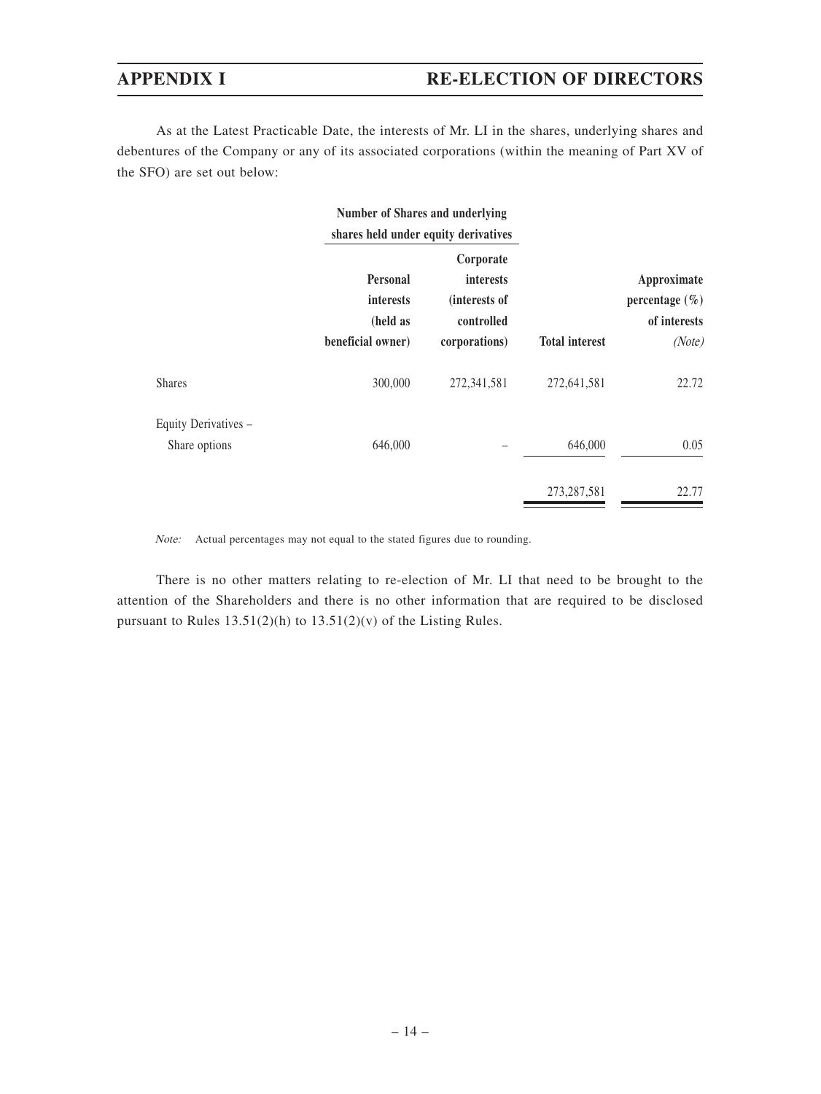As at the Latest Practicable Date, the interests of Mr. LI in the shares, underlying shares and debentures of the Company or any of its associated corporations (within the meaning of Part XV of the SFO) are set out below:

|                                       | <b>Number of Shares and underlying</b><br>shares held under equity derivatives |                                                                               |                       |                                                             |
|---------------------------------------|--------------------------------------------------------------------------------|-------------------------------------------------------------------------------|-----------------------|-------------------------------------------------------------|
|                                       | <b>Personal</b><br><i>interests</i><br>(held as<br>beneficial owner)           | Corporate<br><i>interests</i><br>(interests of<br>controlled<br>corporations) | <b>Total interest</b> | Approximate<br>percentage $(\% )$<br>of interests<br>(Note) |
| <b>Shares</b>                         | 300,000                                                                        | 272,341,581                                                                   | 272,641,581           | 22.72                                                       |
| Equity Derivatives -<br>Share options | 646,000                                                                        |                                                                               | 646,000               | 0.05                                                        |
|                                       |                                                                                |                                                                               | 273, 287, 581         | 22.77                                                       |

Note: Actual percentages may not equal to the stated figures due to rounding.

There is no other matters relating to re-election of Mr. LI that need to be brought to the attention of the Shareholders and there is no other information that are required to be disclosed pursuant to Rules  $13.51(2)(h)$  to  $13.51(2)(v)$  of the Listing Rules.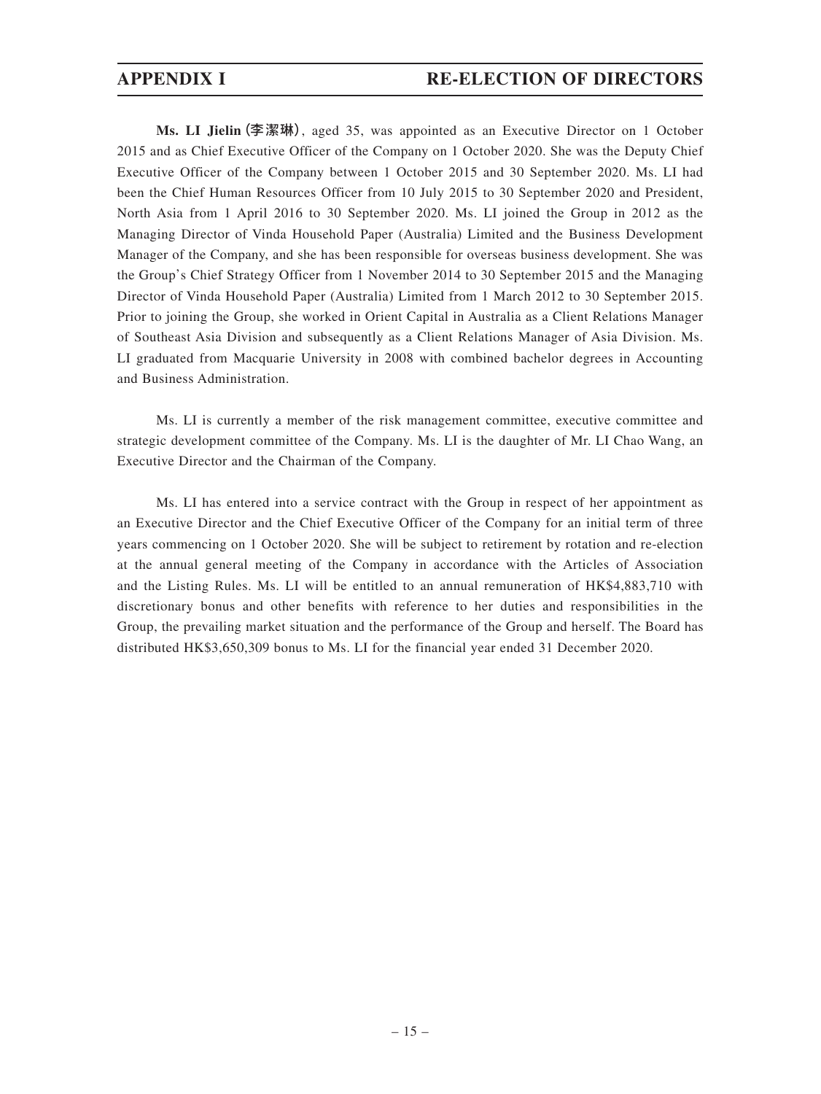**Ms. LI Jielin**(李潔琳), aged 35, was appointed as an Executive Director on 1 October 2015 and as Chief Executive Officer of the Company on 1 October 2020. She was the Deputy Chief Executive Officer of the Company between 1 October 2015 and 30 September 2020. Ms. LI had been the Chief Human Resources Officer from 10 July 2015 to 30 September 2020 and President, North Asia from 1 April 2016 to 30 September 2020. Ms. LI joined the Group in 2012 as the Managing Director of Vinda Household Paper (Australia) Limited and the Business Development Manager of the Company, and she has been responsible for overseas business development. She was the Group's Chief Strategy Officer from 1 November 2014 to 30 September 2015 and the Managing Director of Vinda Household Paper (Australia) Limited from 1 March 2012 to 30 September 2015. Prior to joining the Group, she worked in Orient Capital in Australia as a Client Relations Manager of Southeast Asia Division and subsequently as a Client Relations Manager of Asia Division. Ms. LI graduated from Macquarie University in 2008 with combined bachelor degrees in Accounting and Business Administration.

Ms. LI is currently a member of the risk management committee, executive committee and strategic development committee of the Company. Ms. LI is the daughter of Mr. LI Chao Wang, an Executive Director and the Chairman of the Company.

Ms. LI has entered into a service contract with the Group in respect of her appointment as an Executive Director and the Chief Executive Officer of the Company for an initial term of three years commencing on 1 October 2020. She will be subject to retirement by rotation and re-election at the annual general meeting of the Company in accordance with the Articles of Association and the Listing Rules. Ms. LI will be entitled to an annual remuneration of HK\$4,883,710 with discretionary bonus and other benefits with reference to her duties and responsibilities in the Group, the prevailing market situation and the performance of the Group and herself. The Board has distributed HK\$3,650,309 bonus to Ms. LI for the financial year ended 31 December 2020.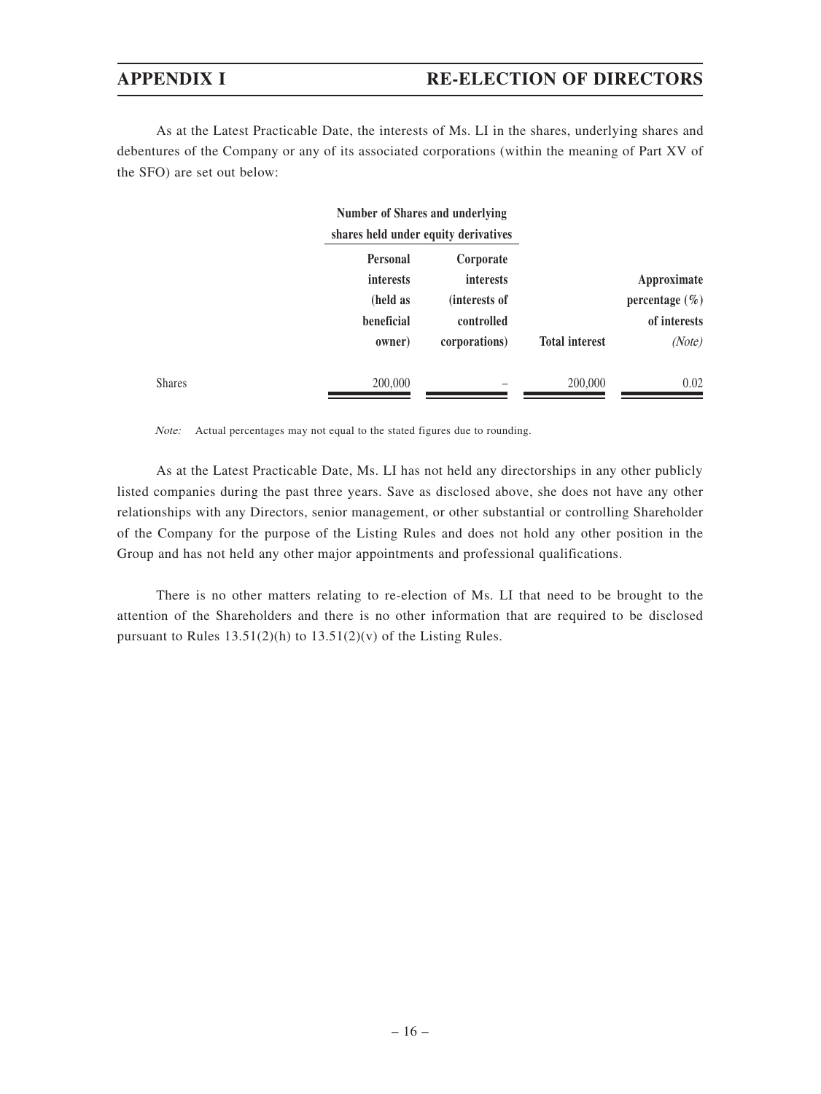As at the Latest Practicable Date, the interests of Ms. LI in the shares, underlying shares and debentures of the Company or any of its associated corporations (within the meaning of Part XV of the SFO) are set out below:

|                                 |                  | Number of Shares and underlying<br>shares held under equity derivatives |               |
|---------------------------------|------------------|-------------------------------------------------------------------------|---------------|
|                                 | Corporate        | <b>Personal</b>                                                         |               |
| Approximate                     | <i>interests</i> | interests                                                               |               |
| percentage $(\% )$              | (interests of    | (held as                                                                |               |
| of interests                    | controlled       | beneficial                                                              |               |
| <b>Total interest</b><br>(Note) | corporations)    | (owner                                                                  |               |
| 200,000<br>0.02                 |                  | 200,000                                                                 | <b>Shares</b> |

Note: Actual percentages may not equal to the stated figures due to rounding.

As at the Latest Practicable Date, Ms. LI has not held any directorships in any other publicly listed companies during the past three years. Save as disclosed above, she does not have any other relationships with any Directors, senior management, or other substantial or controlling Shareholder of the Company for the purpose of the Listing Rules and does not hold any other position in the Group and has not held any other major appointments and professional qualifications.

There is no other matters relating to re-election of Ms. LI that need to be brought to the attention of the Shareholders and there is no other information that are required to be disclosed pursuant to Rules 13.51(2)(h) to 13.51(2)(v) of the Listing Rules.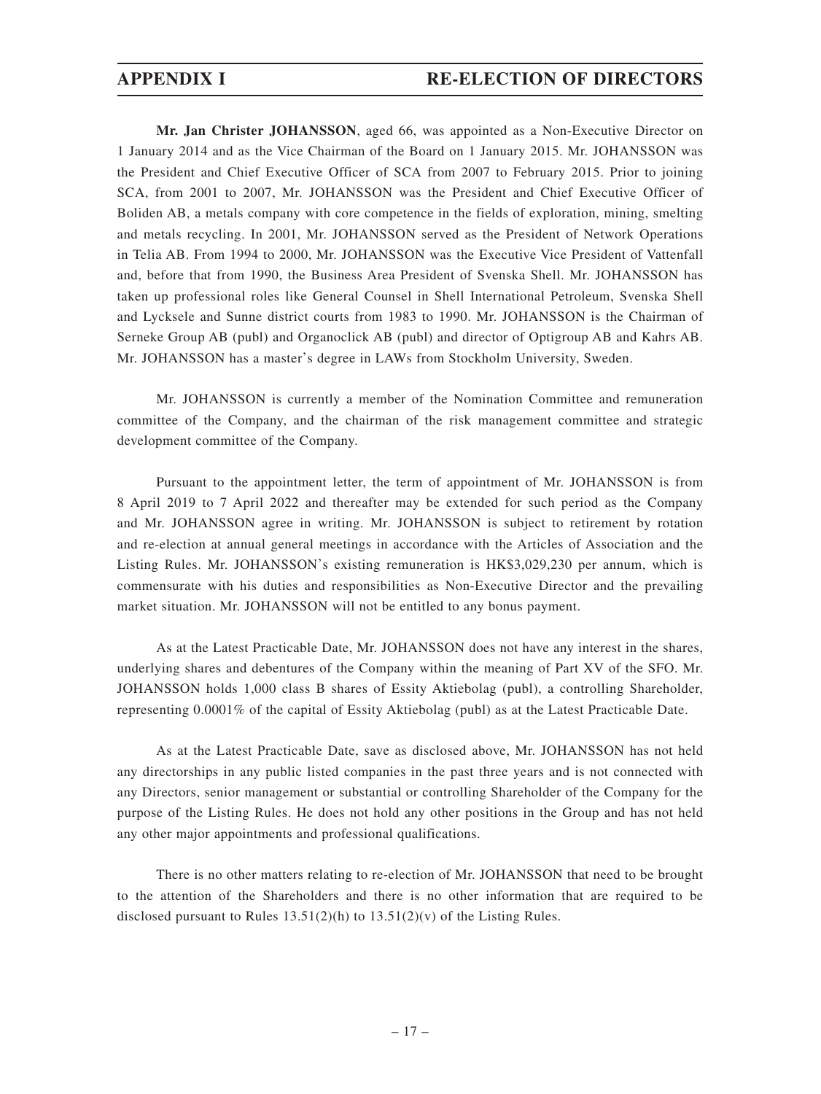**Mr. Jan Christer JOHANSSON**, aged 66, was appointed as a Non-Executive Director on 1 January 2014 and as the Vice Chairman of the Board on 1 January 2015. Mr. JOHANSSON was the President and Chief Executive Officer of SCA from 2007 to February 2015. Prior to joining SCA, from 2001 to 2007, Mr. JOHANSSON was the President and Chief Executive Officer of Boliden AB, a metals company with core competence in the fields of exploration, mining, smelting and metals recycling. In 2001, Mr. JOHANSSON served as the President of Network Operations in Telia AB. From 1994 to 2000, Mr. JOHANSSON was the Executive Vice President of Vattenfall and, before that from 1990, the Business Area President of Svenska Shell. Mr. JOHANSSON has taken up professional roles like General Counsel in Shell International Petroleum, Svenska Shell and Lycksele and Sunne district courts from 1983 to 1990. Mr. JOHANSSON is the Chairman of Serneke Group AB (publ) and Organoclick AB (publ) and director of Optigroup AB and Kahrs AB. Mr. JOHANSSON has a master's degree in LAWs from Stockholm University, Sweden.

Mr. JOHANSSON is currently a member of the Nomination Committee and remuneration committee of the Company, and the chairman of the risk management committee and strategic development committee of the Company.

Pursuant to the appointment letter, the term of appointment of Mr. JOHANSSON is from 8 April 2019 to 7 April 2022 and thereafter may be extended for such period as the Company and Mr. JOHANSSON agree in writing. Mr. JOHANSSON is subject to retirement by rotation and re-election at annual general meetings in accordance with the Articles of Association and the Listing Rules. Mr. JOHANSSON's existing remuneration is HK\$3,029,230 per annum, which is commensurate with his duties and responsibilities as Non-Executive Director and the prevailing market situation. Mr. JOHANSSON will not be entitled to any bonus payment.

As at the Latest Practicable Date, Mr. JOHANSSON does not have any interest in the shares, underlying shares and debentures of the Company within the meaning of Part XV of the SFO. Mr. JOHANSSON holds 1,000 class B shares of Essity Aktiebolag (publ), a controlling Shareholder, representing 0.0001% of the capital of Essity Aktiebolag (publ) as at the Latest Practicable Date.

As at the Latest Practicable Date, save as disclosed above, Mr. JOHANSSON has not held any directorships in any public listed companies in the past three years and is not connected with any Directors, senior management or substantial or controlling Shareholder of the Company for the purpose of the Listing Rules. He does not hold any other positions in the Group and has not held any other major appointments and professional qualifications.

There is no other matters relating to re-election of Mr. JOHANSSON that need to be brought to the attention of the Shareholders and there is no other information that are required to be disclosed pursuant to Rules  $13.51(2)(h)$  to  $13.51(2)(v)$  of the Listing Rules.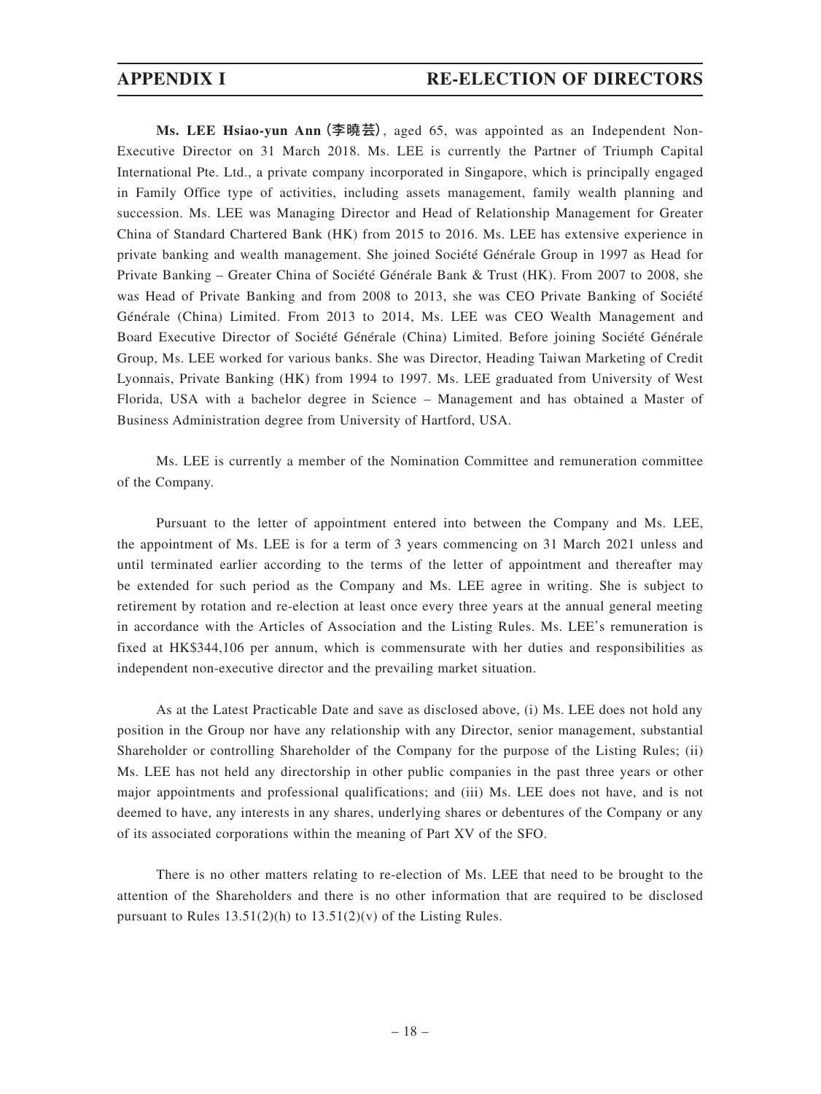**Ms. LEE Hsiao-yun Ann**(李曉芸), aged 65, was appointed as an Independent Non-Executive Director on 31 March 2018. Ms. LEE is currently the Partner of Triumph Capital International Pte. Ltd., a private company incorporated in Singapore, which is principally engaged in Family Office type of activities, including assets management, family wealth planning and succession. Ms. LEE was Managing Director and Head of Relationship Management for Greater China of Standard Chartered Bank (HK) from 2015 to 2016. Ms. LEE has extensive experience in private banking and wealth management. She joined Société Générale Group in 1997 as Head for Private Banking – Greater China of Société Générale Bank & Trust (HK). From 2007 to 2008, she was Head of Private Banking and from 2008 to 2013, she was CEO Private Banking of Société Générale (China) Limited. From 2013 to 2014, Ms. LEE was CEO Wealth Management and Board Executive Director of Société Générale (China) Limited. Before joining Société Générale Group, Ms. LEE worked for various banks. She was Director, Heading Taiwan Marketing of Credit Lyonnais, Private Banking (HK) from 1994 to 1997. Ms. LEE graduated from University of West Florida, USA with a bachelor degree in Science – Management and has obtained a Master of Business Administration degree from University of Hartford, USA.

Ms. LEE is currently a member of the Nomination Committee and remuneration committee of the Company.

Pursuant to the letter of appointment entered into between the Company and Ms. LEE, the appointment of Ms. LEE is for a term of 3 years commencing on 31 March 2021 unless and until terminated earlier according to the terms of the letter of appointment and thereafter may be extended for such period as the Company and Ms. LEE agree in writing. She is subject to retirement by rotation and re-election at least once every three years at the annual general meeting in accordance with the Articles of Association and the Listing Rules. Ms. LEE's remuneration is fixed at HK\$344,106 per annum, which is commensurate with her duties and responsibilities as independent non-executive director and the prevailing market situation.

As at the Latest Practicable Date and save as disclosed above, (i) Ms. LEE does not hold any position in the Group nor have any relationship with any Director, senior management, substantial Shareholder or controlling Shareholder of the Company for the purpose of the Listing Rules; (ii) Ms. LEE has not held any directorship in other public companies in the past three years or other major appointments and professional qualifications; and (iii) Ms. LEE does not have, and is not deemed to have, any interests in any shares, underlying shares or debentures of the Company or any of its associated corporations within the meaning of Part XV of the SFO.

There is no other matters relating to re-election of Ms. LEE that need to be brought to the attention of the Shareholders and there is no other information that are required to be disclosed pursuant to Rules  $13.51(2)(h)$  to  $13.51(2)(v)$  of the Listing Rules.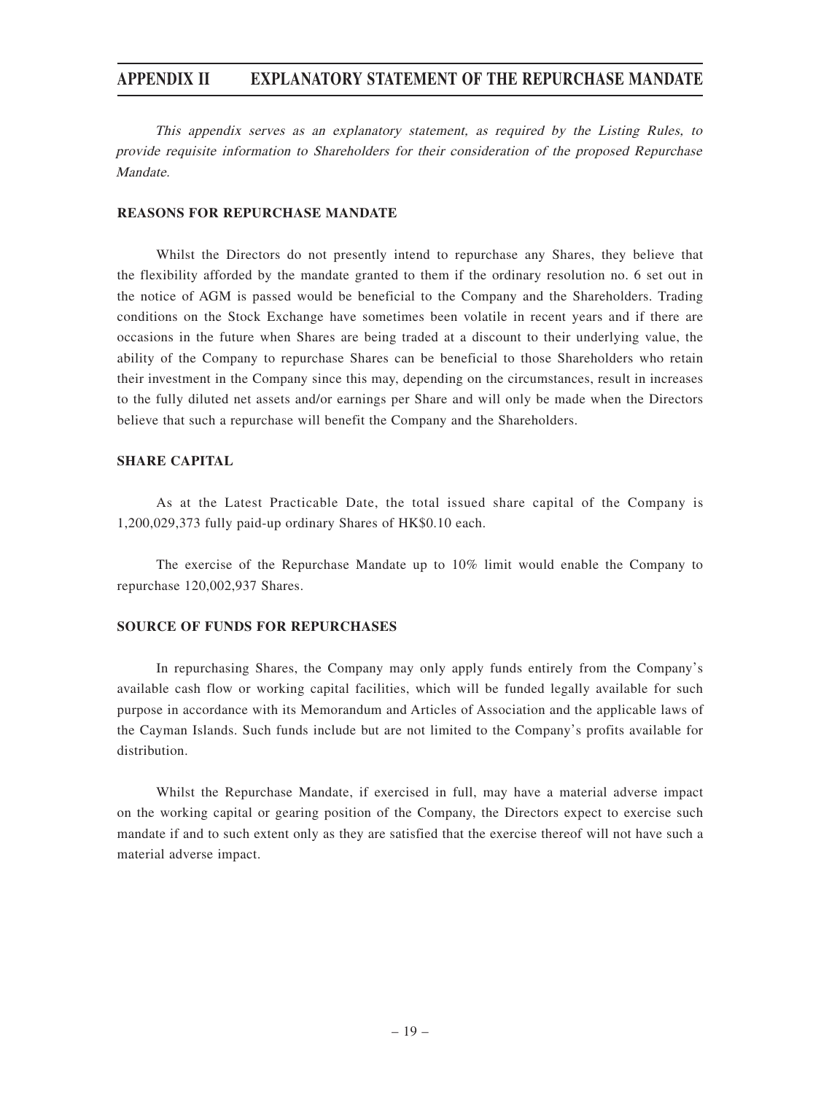This appendix serves as an explanatory statement, as required by the Listing Rules, to provide requisite information to Shareholders for their consideration of the proposed Repurchase Mandate.

### **REASONS FOR REPURCHASE MANDATE**

Whilst the Directors do not presently intend to repurchase any Shares, they believe that the flexibility afforded by the mandate granted to them if the ordinary resolution no. 6 set out in the notice of AGM is passed would be beneficial to the Company and the Shareholders. Trading conditions on the Stock Exchange have sometimes been volatile in recent years and if there are occasions in the future when Shares are being traded at a discount to their underlying value, the ability of the Company to repurchase Shares can be beneficial to those Shareholders who retain their investment in the Company since this may, depending on the circumstances, result in increases to the fully diluted net assets and/or earnings per Share and will only be made when the Directors believe that such a repurchase will benefit the Company and the Shareholders.

### **SHARE CAPITAL**

As at the Latest Practicable Date, the total issued share capital of the Company is 1,200,029,373 fully paid-up ordinary Shares of HK\$0.10 each.

The exercise of the Repurchase Mandate up to 10% limit would enable the Company to repurchase 120,002,937 Shares.

### **SOURCE OF FUNDS FOR REPURCHASES**

In repurchasing Shares, the Company may only apply funds entirely from the Company's available cash flow or working capital facilities, which will be funded legally available for such purpose in accordance with its Memorandum and Articles of Association and the applicable laws of the Cayman Islands. Such funds include but are not limited to the Company's profits available for distribution.

Whilst the Repurchase Mandate, if exercised in full, may have a material adverse impact on the working capital or gearing position of the Company, the Directors expect to exercise such mandate if and to such extent only as they are satisfied that the exercise thereof will not have such a material adverse impact.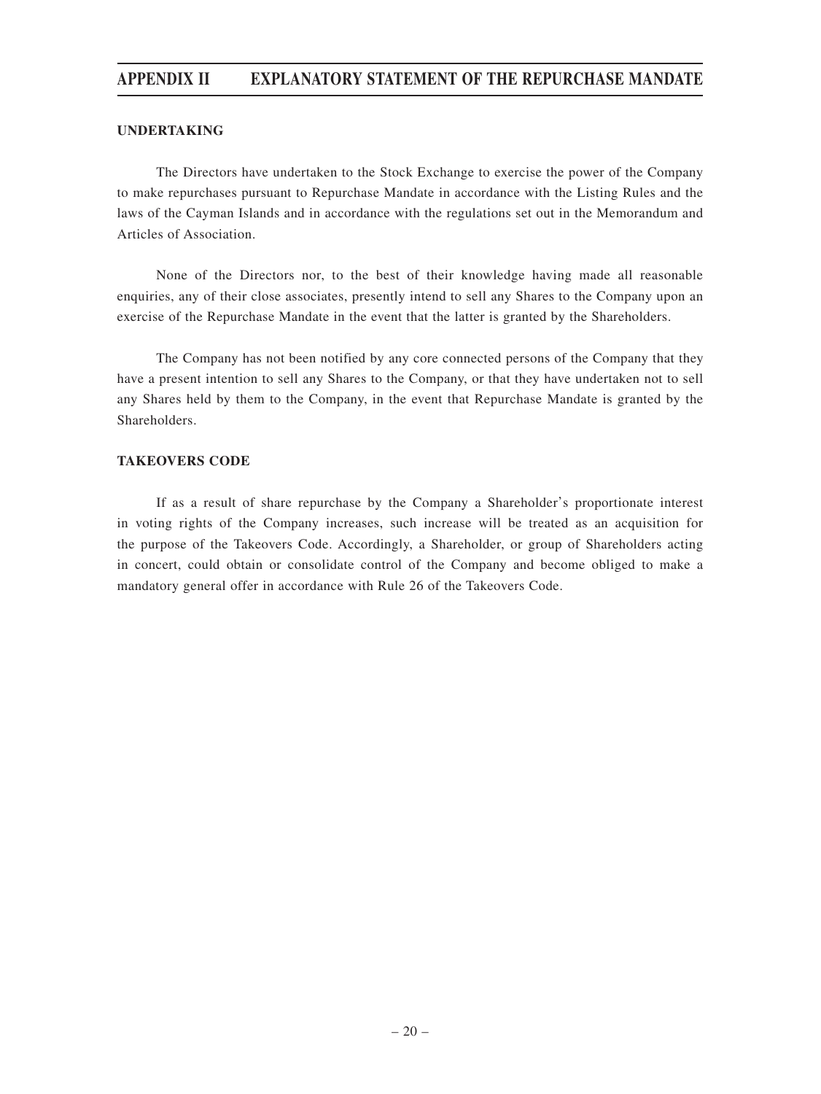### **UNDERTAKING**

The Directors have undertaken to the Stock Exchange to exercise the power of the Company to make repurchases pursuant to Repurchase Mandate in accordance with the Listing Rules and the laws of the Cayman Islands and in accordance with the regulations set out in the Memorandum and Articles of Association.

None of the Directors nor, to the best of their knowledge having made all reasonable enquiries, any of their close associates, presently intend to sell any Shares to the Company upon an exercise of the Repurchase Mandate in the event that the latter is granted by the Shareholders.

The Company has not been notified by any core connected persons of the Company that they have a present intention to sell any Shares to the Company, or that they have undertaken not to sell any Shares held by them to the Company, in the event that Repurchase Mandate is granted by the Shareholders.

### **TAKEOVERS CODE**

If as a result of share repurchase by the Company a Shareholder's proportionate interest in voting rights of the Company increases, such increase will be treated as an acquisition for the purpose of the Takeovers Code. Accordingly, a Shareholder, or group of Shareholders acting in concert, could obtain or consolidate control of the Company and become obliged to make a mandatory general offer in accordance with Rule 26 of the Takeovers Code.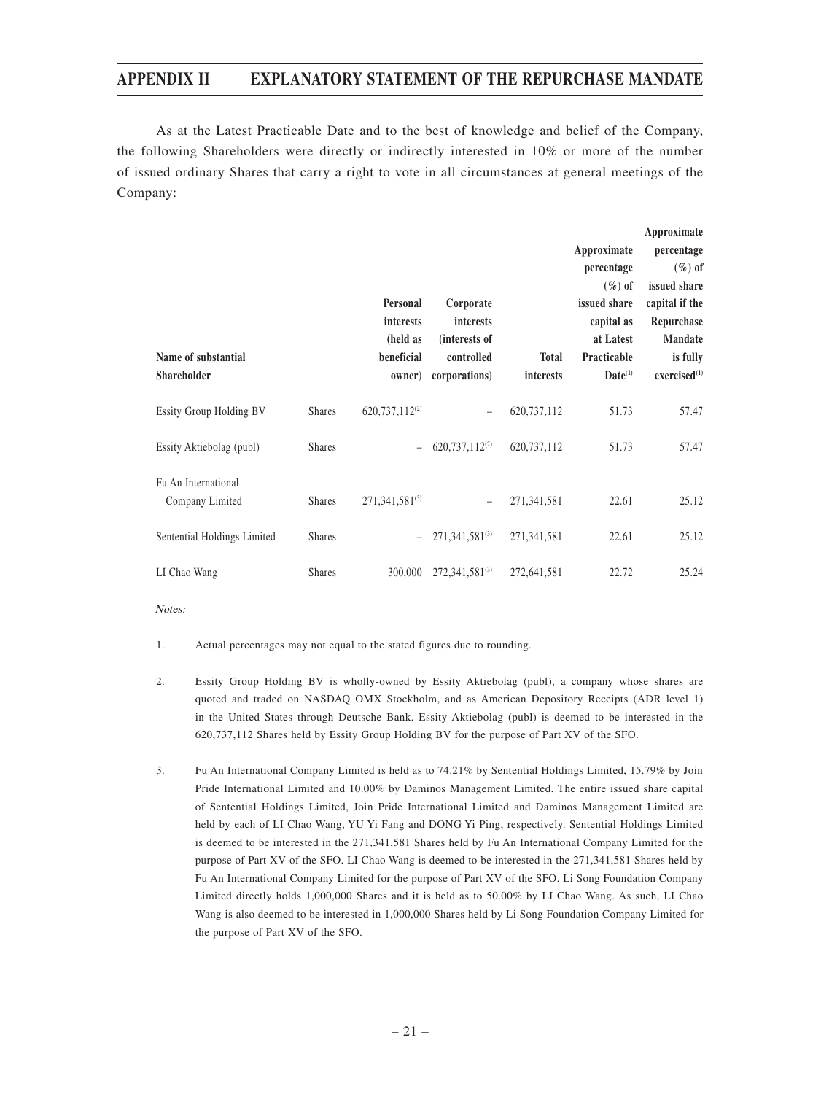As at the Latest Practicable Date and to the best of knowledge and belief of the Company, the following Shareholders were directly or indirectly interested in 10% or more of the number of issued ordinary Shares that carry a right to vote in all circumstances at general meetings of the Company:

|                                        |               |                            |                            |              |              | Approximate              |
|----------------------------------------|---------------|----------------------------|----------------------------|--------------|--------------|--------------------------|
|                                        |               |                            |                            |              | Approximate  | percentage               |
|                                        |               |                            |                            |              | percentage   | $(\%)$ of                |
|                                        |               |                            |                            |              | $(\%)$ of    | issued share             |
|                                        |               | Personal                   | Corporate                  |              | issued share | capital if the           |
|                                        |               | interests                  | <i>interests</i>           |              | capital as   | Repurchase               |
|                                        |               | (held as                   | (interests of              |              | at Latest    | <b>Mandate</b>           |
| Name of substantial                    |               | beneficial                 | controlled                 | <b>Total</b> | Practicable  | is fully                 |
| <b>Shareholder</b>                     |               | owner)                     | corporations)              | interests    | $Date^{(1)}$ | exercised <sup>(1)</sup> |
| <b>Essity Group Holding BV</b>         | <b>Shares</b> | 620,737,112 <sup>(2)</sup> | $\qquad \qquad -$          | 620,737,112  | 51.73        | 57.47                    |
| Essity Aktiebolag (publ)               | <b>Shares</b> |                            | 620,737,112 <sup>(2)</sup> | 620,737,112  | 51.73        | 57.47                    |
| Fu An International<br>Company Limited | <b>Shares</b> | $271,341,581^{(3)}$        | $\overline{\phantom{m}}$   | 271,341,581  | 22.61        | 25.12                    |
| Sentential Holdings Limited            | <b>Shares</b> |                            | $271,341,581^{(3)}$        | 271,341,581  | 22.61        | 25.12                    |
| LI Chao Wang                           | <b>Shares</b> | 300,000                    | $272,341,581^{(3)}$        | 272,641,581  | 22.72        | 25.24                    |

Notes:

- 1. Actual percentages may not equal to the stated figures due to rounding.
- 2. Essity Group Holding BV is wholly-owned by Essity Aktiebolag (publ), a company whose shares are quoted and traded on NASDAQ OMX Stockholm, and as American Depository Receipts (ADR level 1) in the United States through Deutsche Bank. Essity Aktiebolag (publ) is deemed to be interested in the 620,737,112 Shares held by Essity Group Holding BV for the purpose of Part XV of the SFO.
- 3. Fu An International Company Limited is held as to 74.21% by Sentential Holdings Limited, 15.79% by Join Pride International Limited and 10.00% by Daminos Management Limited. The entire issued share capital of Sentential Holdings Limited, Join Pride International Limited and Daminos Management Limited are held by each of LI Chao Wang, YU Yi Fang and DONG Yi Ping, respectively. Sentential Holdings Limited is deemed to be interested in the 271,341,581 Shares held by Fu An International Company Limited for the purpose of Part XV of the SFO. LI Chao Wang is deemed to be interested in the 271,341,581 Shares held by Fu An International Company Limited for the purpose of Part XV of the SFO. Li Song Foundation Company Limited directly holds 1,000,000 Shares and it is held as to 50.00% by LI Chao Wang. As such, LI Chao Wang is also deemed to be interested in 1,000,000 Shares held by Li Song Foundation Company Limited for the purpose of Part XV of the SFO.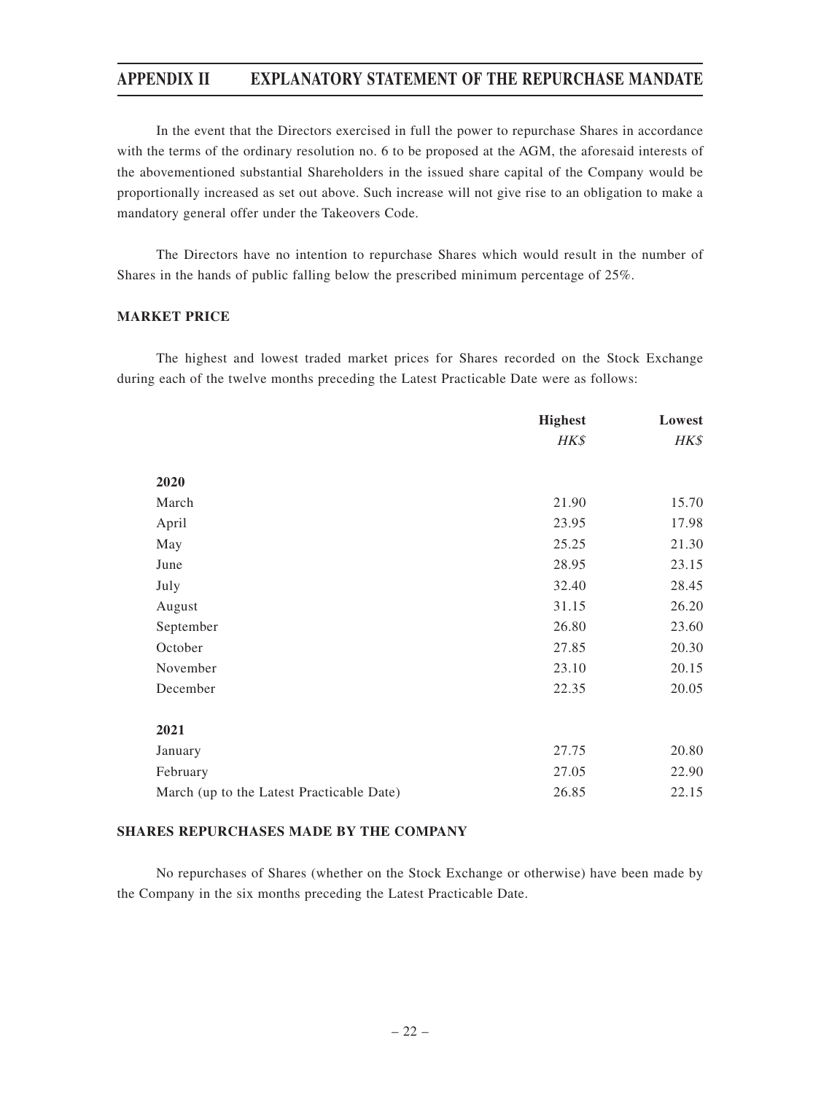In the event that the Directors exercised in full the power to repurchase Shares in accordance with the terms of the ordinary resolution no. 6 to be proposed at the AGM, the aforesaid interests of the abovementioned substantial Shareholders in the issued share capital of the Company would be proportionally increased as set out above. Such increase will not give rise to an obligation to make a mandatory general offer under the Takeovers Code.

The Directors have no intention to repurchase Shares which would result in the number of Shares in the hands of public falling below the prescribed minimum percentage of 25%.

### **MARKET PRICE**

The highest and lowest traded market prices for Shares recorded on the Stock Exchange during each of the twelve months preceding the Latest Practicable Date were as follows:

|                                           | <b>Highest</b> | Lowest |
|-------------------------------------------|----------------|--------|
|                                           | HK\$           | HK\$   |
| 2020                                      |                |        |
| March                                     | 21.90          | 15.70  |
| April                                     | 23.95          | 17.98  |
| May                                       | 25.25          | 21.30  |
| June                                      | 28.95          | 23.15  |
| July                                      | 32.40          | 28.45  |
| August                                    | 31.15          | 26.20  |
| September                                 | 26.80          | 23.60  |
| October                                   | 27.85          | 20.30  |
| November                                  | 23.10          | 20.15  |
| December                                  | 22.35          | 20.05  |
| 2021                                      |                |        |
| January                                   | 27.75          | 20.80  |
| February                                  | 27.05          | 22.90  |
| March (up to the Latest Practicable Date) | 26.85          | 22.15  |

### **SHARES REPURCHASES MADE BY THE COMPANY**

No repurchases of Shares (whether on the Stock Exchange or otherwise) have been made by the Company in the six months preceding the Latest Practicable Date.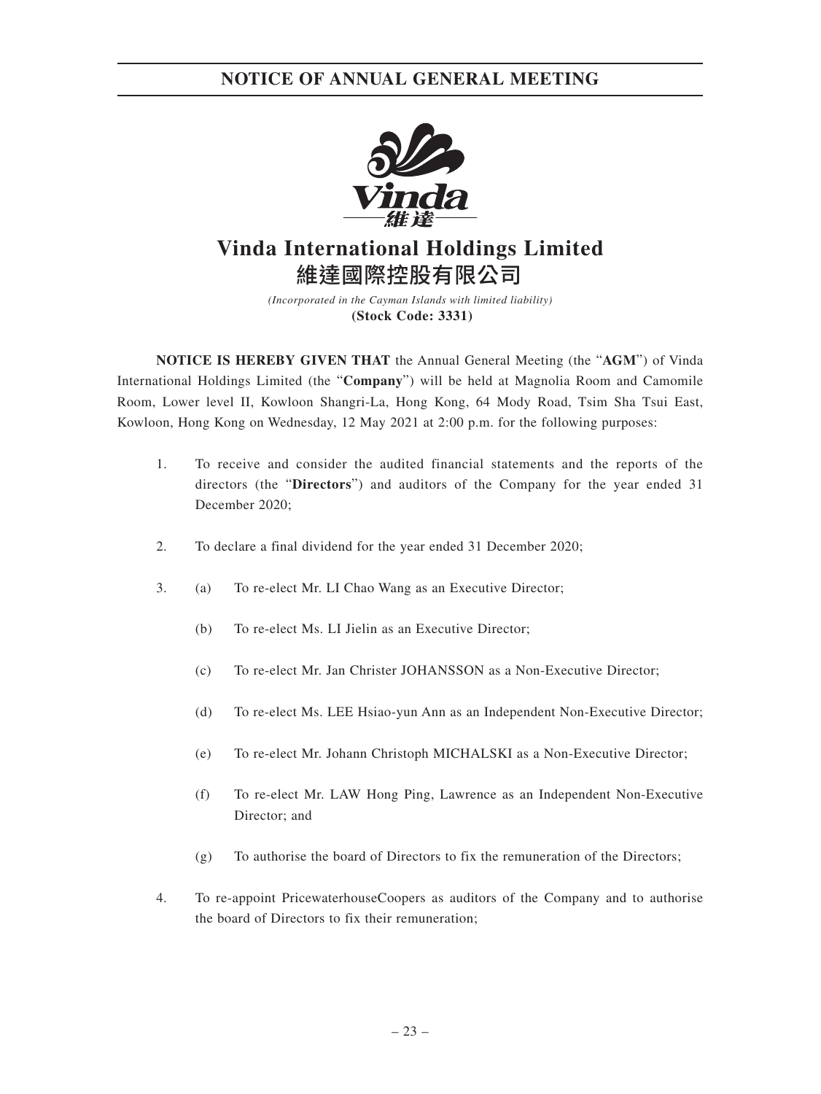

# **Vinda International Holdings Limited** 維達國際控股有限公司

*(Incorporated in the Cayman Islands with limited liability)* **(Stock Code: 3331)**

**NOTICE IS HEREBY GIVEN THAT** the Annual General Meeting (the "**AGM**") of Vinda International Holdings Limited (the "**Company**") will be held at Magnolia Room and Camomile Room, Lower level II, Kowloon Shangri-La, Hong Kong, 64 Mody Road, Tsim Sha Tsui East, Kowloon, Hong Kong on Wednesday, 12 May 2021 at 2:00 p.m. for the following purposes:

- 1. To receive and consider the audited financial statements and the reports of the directors (the "**Directors**") and auditors of the Company for the year ended 31 December 2020;
- 2. To declare a final dividend for the year ended 31 December 2020;
- 3. (a) To re-elect Mr. LI Chao Wang as an Executive Director;
	- (b) To re-elect Ms. LI Jielin as an Executive Director;
	- (c) To re-elect Mr. Jan Christer JOHANSSON as a Non-Executive Director;
	- (d) To re-elect Ms. LEE Hsiao-yun Ann as an Independent Non-Executive Director;
	- (e) To re-elect Mr. Johann Christoph MICHALSKI as a Non-Executive Director;
	- (f) To re-elect Mr. LAW Hong Ping, Lawrence as an Independent Non-Executive Director; and
	- (g) To authorise the board of Directors to fix the remuneration of the Directors;
- 4. To re-appoint PricewaterhouseCoopers as auditors of the Company and to authorise the board of Directors to fix their remuneration;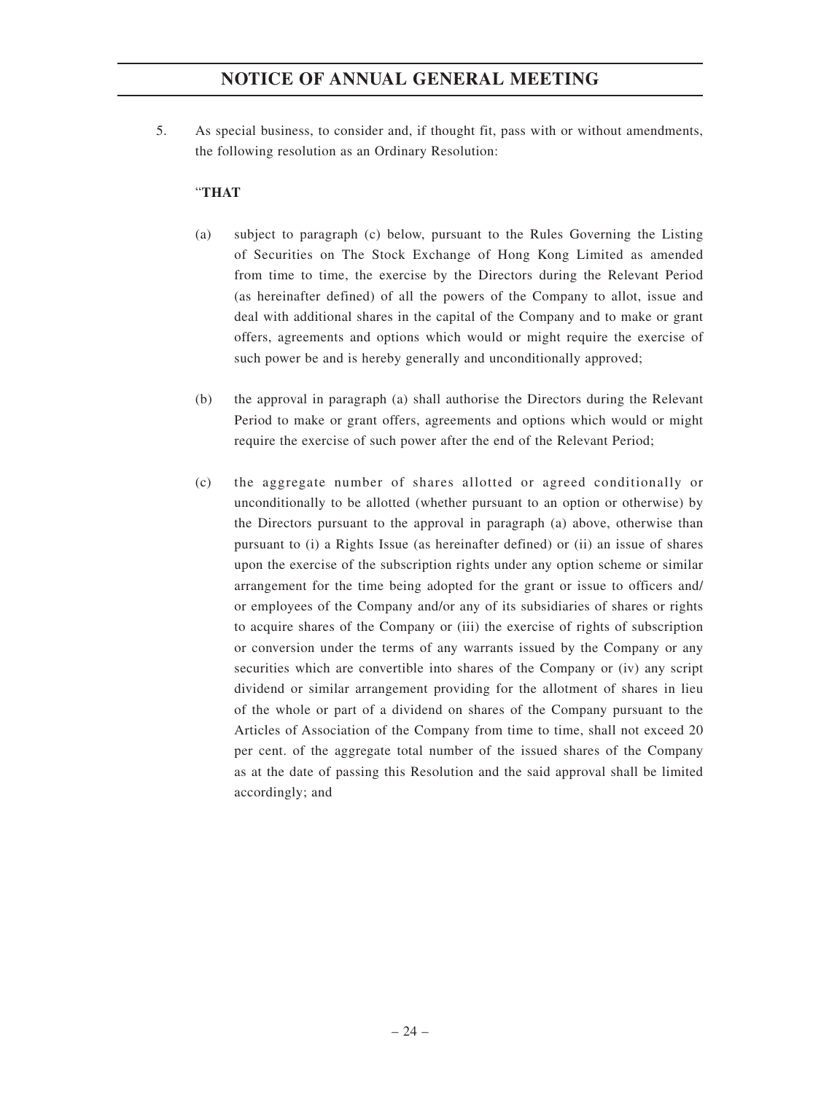5. As special business, to consider and, if thought fit, pass with or without amendments, the following resolution as an Ordinary Resolution:

### "**THAT**

- (a) subject to paragraph (c) below, pursuant to the Rules Governing the Listing of Securities on The Stock Exchange of Hong Kong Limited as amended from time to time, the exercise by the Directors during the Relevant Period (as hereinafter defined) of all the powers of the Company to allot, issue and deal with additional shares in the capital of the Company and to make or grant offers, agreements and options which would or might require the exercise of such power be and is hereby generally and unconditionally approved;
- (b) the approval in paragraph (a) shall authorise the Directors during the Relevant Period to make or grant offers, agreements and options which would or might require the exercise of such power after the end of the Relevant Period;
- (c) the aggregate number of shares allotted or agreed conditionally or unconditionally to be allotted (whether pursuant to an option or otherwise) by the Directors pursuant to the approval in paragraph (a) above, otherwise than pursuant to (i) a Rights Issue (as hereinafter defined) or (ii) an issue of shares upon the exercise of the subscription rights under any option scheme or similar arrangement for the time being adopted for the grant or issue to officers and/ or employees of the Company and/or any of its subsidiaries of shares or rights to acquire shares of the Company or (iii) the exercise of rights of subscription or conversion under the terms of any warrants issued by the Company or any securities which are convertible into shares of the Company or (iv) any script dividend or similar arrangement providing for the allotment of shares in lieu of the whole or part of a dividend on shares of the Company pursuant to the Articles of Association of the Company from time to time, shall not exceed 20 per cent. of the aggregate total number of the issued shares of the Company as at the date of passing this Resolution and the said approval shall be limited accordingly; and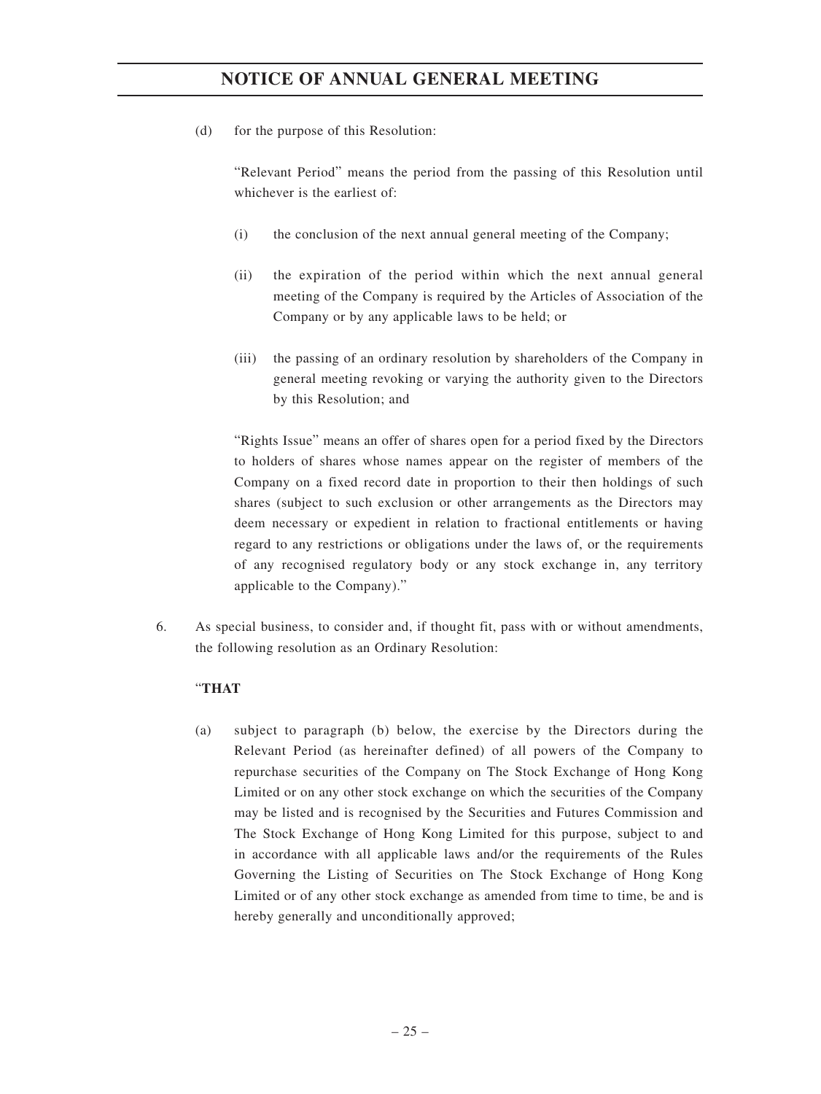(d) for the purpose of this Resolution:

"Relevant Period" means the period from the passing of this Resolution until whichever is the earliest of:

- (i) the conclusion of the next annual general meeting of the Company;
- (ii) the expiration of the period within which the next annual general meeting of the Company is required by the Articles of Association of the Company or by any applicable laws to be held; or
- (iii) the passing of an ordinary resolution by shareholders of the Company in general meeting revoking or varying the authority given to the Directors by this Resolution; and

"Rights Issue" means an offer of shares open for a period fixed by the Directors to holders of shares whose names appear on the register of members of the Company on a fixed record date in proportion to their then holdings of such shares (subject to such exclusion or other arrangements as the Directors may deem necessary or expedient in relation to fractional entitlements or having regard to any restrictions or obligations under the laws of, or the requirements of any recognised regulatory body or any stock exchange in, any territory applicable to the Company)."

6. As special business, to consider and, if thought fit, pass with or without amendments, the following resolution as an Ordinary Resolution:

### "**THAT**

(a) subject to paragraph (b) below, the exercise by the Directors during the Relevant Period (as hereinafter defined) of all powers of the Company to repurchase securities of the Company on The Stock Exchange of Hong Kong Limited or on any other stock exchange on which the securities of the Company may be listed and is recognised by the Securities and Futures Commission and The Stock Exchange of Hong Kong Limited for this purpose, subject to and in accordance with all applicable laws and/or the requirements of the Rules Governing the Listing of Securities on The Stock Exchange of Hong Kong Limited or of any other stock exchange as amended from time to time, be and is hereby generally and unconditionally approved;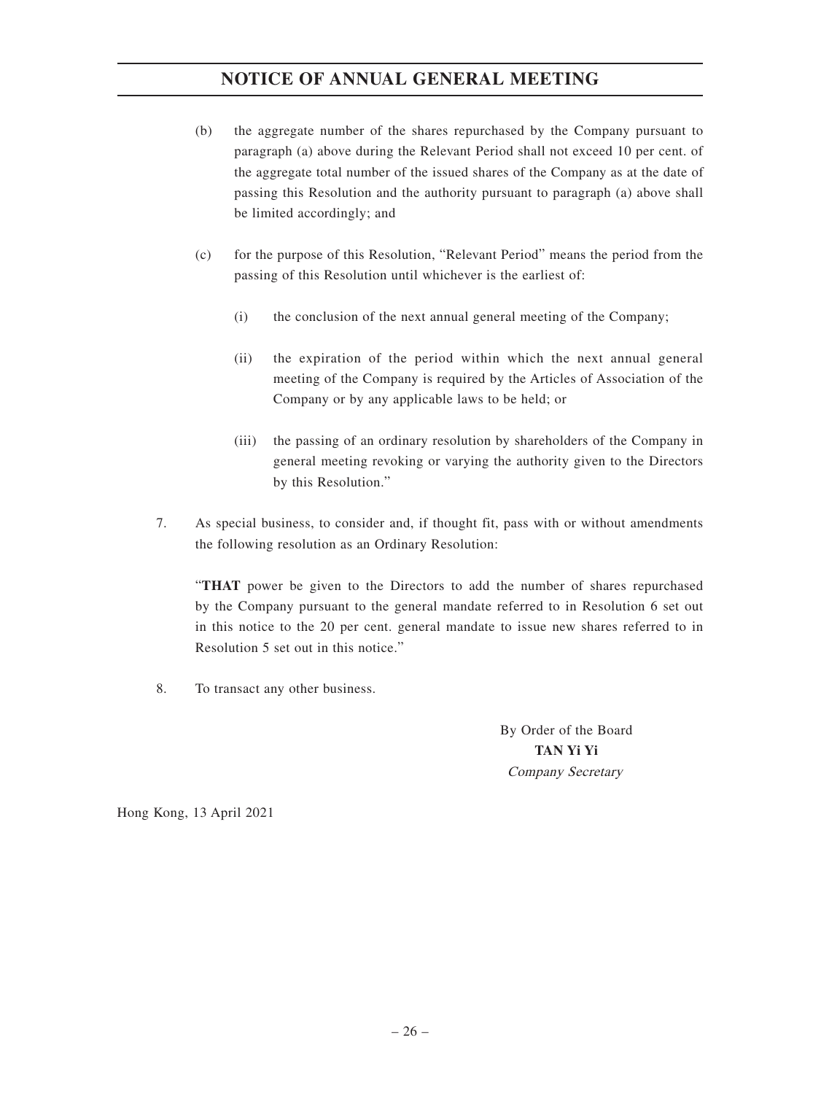- (b) the aggregate number of the shares repurchased by the Company pursuant to paragraph (a) above during the Relevant Period shall not exceed 10 per cent. of the aggregate total number of the issued shares of the Company as at the date of passing this Resolution and the authority pursuant to paragraph (a) above shall be limited accordingly; and
- (c) for the purpose of this Resolution, "Relevant Period" means the period from the passing of this Resolution until whichever is the earliest of:
	- (i) the conclusion of the next annual general meeting of the Company;
	- (ii) the expiration of the period within which the next annual general meeting of the Company is required by the Articles of Association of the Company or by any applicable laws to be held; or
	- (iii) the passing of an ordinary resolution by shareholders of the Company in general meeting revoking or varying the authority given to the Directors by this Resolution."
- 7. As special business, to consider and, if thought fit, pass with or without amendments the following resolution as an Ordinary Resolution:

"**THAT** power be given to the Directors to add the number of shares repurchased by the Company pursuant to the general mandate referred to in Resolution 6 set out in this notice to the 20 per cent. general mandate to issue new shares referred to in Resolution 5 set out in this notice."

8. To transact any other business.

By Order of the Board **TAN Yi Yi** Company Secretary

Hong Kong, 13 April 2021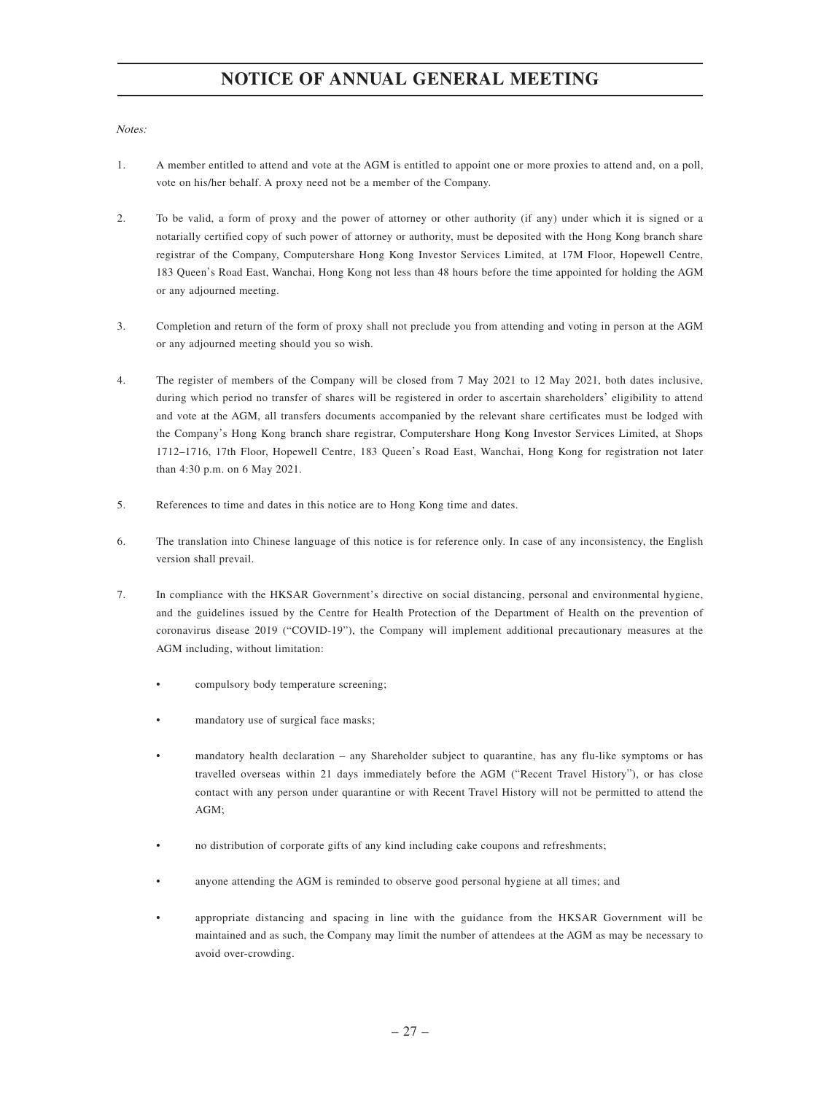Notes:

- 1. A member entitled to attend and vote at the AGM is entitled to appoint one or more proxies to attend and, on a poll, vote on his/her behalf. A proxy need not be a member of the Company.
- 2. To be valid, a form of proxy and the power of attorney or other authority (if any) under which it is signed or a notarially certified copy of such power of attorney or authority, must be deposited with the Hong Kong branch share registrar of the Company, Computershare Hong Kong Investor Services Limited, at 17M Floor, Hopewell Centre, 183 Queen's Road East, Wanchai, Hong Kong not less than 48 hours before the time appointed for holding the AGM or any adjourned meeting.
- 3. Completion and return of the form of proxy shall not preclude you from attending and voting in person at the AGM or any adjourned meeting should you so wish.
- 4. The register of members of the Company will be closed from 7 May 2021 to 12 May 2021, both dates inclusive, during which period no transfer of shares will be registered in order to ascertain shareholders' eligibility to attend and vote at the AGM, all transfers documents accompanied by the relevant share certificates must be lodged with the Company's Hong Kong branch share registrar, Computershare Hong Kong Investor Services Limited, at Shops 1712–1716, 17th Floor, Hopewell Centre, 183 Queen's Road East, Wanchai, Hong Kong for registration not later than 4:30 p.m. on 6 May 2021.
- 5. References to time and dates in this notice are to Hong Kong time and dates.
- 6. The translation into Chinese language of this notice is for reference only. In case of any inconsistency, the English version shall prevail.
- 7. In compliance with the HKSAR Government's directive on social distancing, personal and environmental hygiene, and the guidelines issued by the Centre for Health Protection of the Department of Health on the prevention of coronavirus disease 2019 ("COVID-19"), the Company will implement additional precautionary measures at the AGM including, without limitation:
	- compulsory body temperature screening;
	- mandatory use of surgical face masks;
	- mandatory health declaration any Shareholder subject to quarantine, has any flu-like symptoms or has travelled overseas within 21 days immediately before the AGM ("Recent Travel History"), or has close contact with any person under quarantine or with Recent Travel History will not be permitted to attend the AGM;
	- no distribution of corporate gifts of any kind including cake coupons and refreshments;
	- anyone attending the AGM is reminded to observe good personal hygiene at all times; and
	- appropriate distancing and spacing in line with the guidance from the HKSAR Government will be maintained and as such, the Company may limit the number of attendees at the AGM as may be necessary to avoid over-crowding.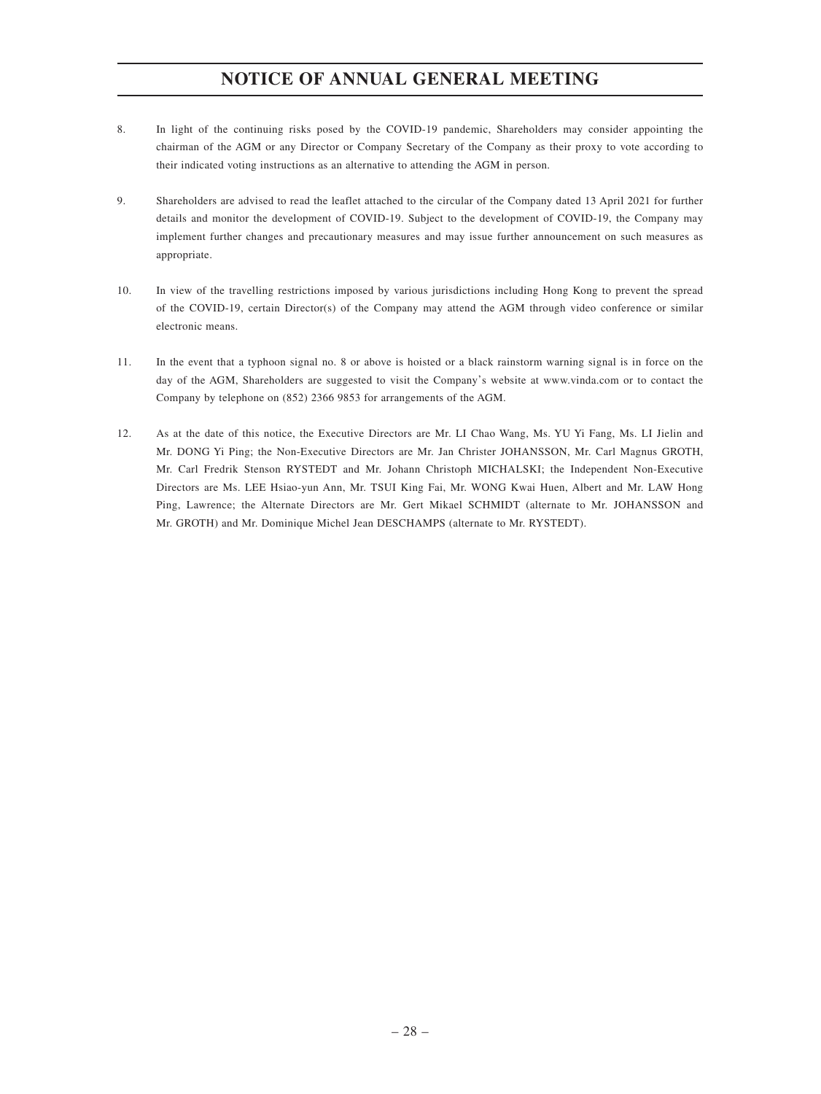- 8. In light of the continuing risks posed by the COVID-19 pandemic, Shareholders may consider appointing the chairman of the AGM or any Director or Company Secretary of the Company as their proxy to vote according to their indicated voting instructions as an alternative to attending the AGM in person.
- 9. Shareholders are advised to read the leaflet attached to the circular of the Company dated 13 April 2021 for further details and monitor the development of COVID-19. Subject to the development of COVID-19, the Company may implement further changes and precautionary measures and may issue further announcement on such measures as appropriate.
- 10. In view of the travelling restrictions imposed by various jurisdictions including Hong Kong to prevent the spread of the COVID-19, certain Director(s) of the Company may attend the AGM through video conference or similar electronic means.
- 11. In the event that a typhoon signal no. 8 or above is hoisted or a black rainstorm warning signal is in force on the day of the AGM, Shareholders are suggested to visit the Company's website at www.vinda.com or to contact the Company by telephone on (852) 2366 9853 for arrangements of the AGM.
- 12. As at the date of this notice, the Executive Directors are Mr. LI Chao Wang, Ms. YU Yi Fang, Ms. LI Jielin and Mr. DONG Yi Ping; the Non-Executive Directors are Mr. Jan Christer JOHANSSON, Mr. Carl Magnus GROTH, Mr. Carl Fredrik Stenson RYSTEDT and Mr. Johann Christoph MICHALSKI; the Independent Non-Executive Directors are Ms. LEE Hsiao-yun Ann, Mr. TSUI King Fai, Mr. WONG Kwai Huen, Albert and Mr. LAW Hong Ping, Lawrence; the Alternate Directors are Mr. Gert Mikael SCHMIDT (alternate to Mr. JOHANSSON and Mr. GROTH) and Mr. Dominique Michel Jean DESCHAMPS (alternate to Mr. RYSTEDT).